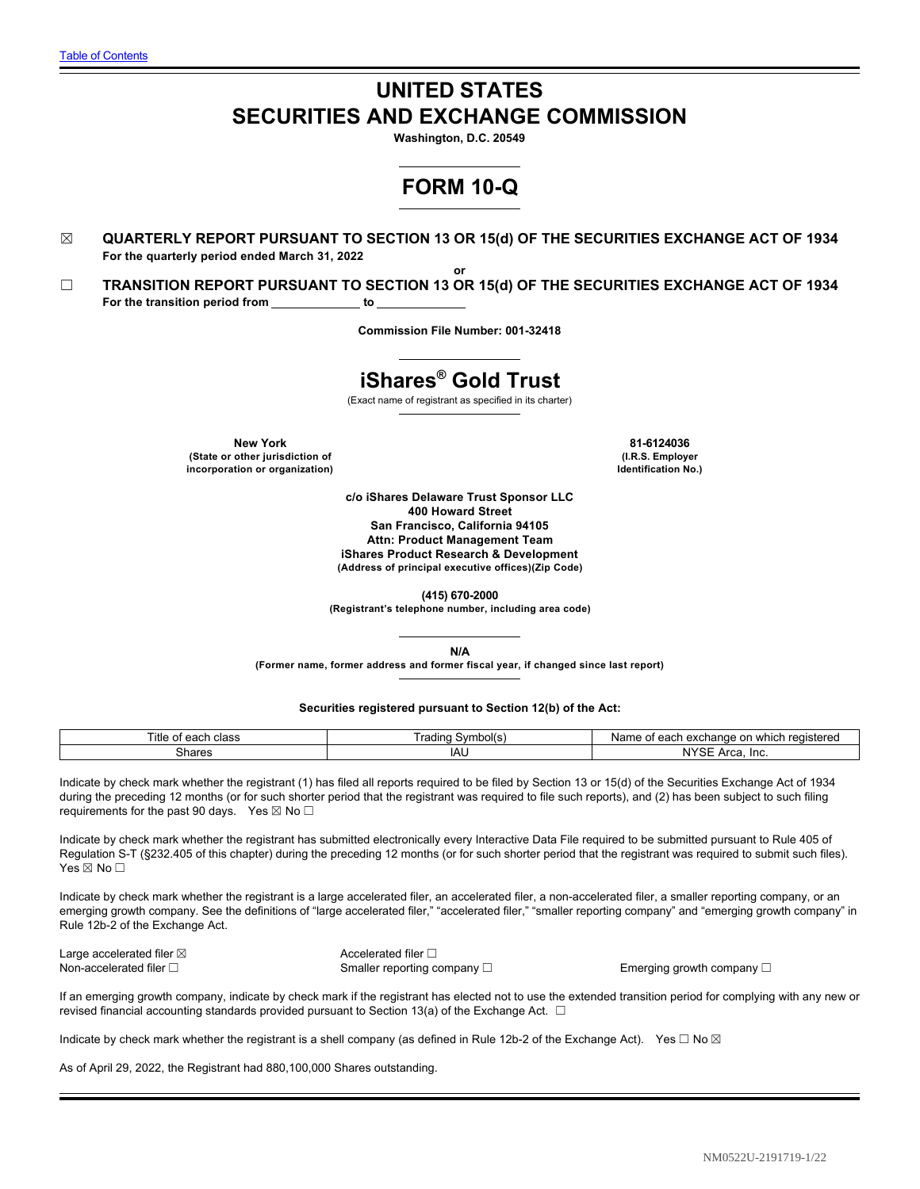# **UNITED STATES SECURITIES AND EXCHANGE COMMISSION**

**Washington, D.C. 20549**

# **FORM 10-Q**

- ☒ **QUARTERLY REPORT PURSUANT TO SECTION 13 OR 15(d) OF THE SECURITIES EXCHANGE ACT OF 1934 For the quarterly period ended March 31, 2022**
- **or** ☐ **TRANSITION REPORT PURSUANT TO SECTION 13 OR 15(d) OF THE SECURITIES EXCHANGE ACT OF 1934** For the transition period from \_\_\_\_\_\_\_\_\_\_\_\_\_ to

**Commission File Number: 001-32418**

# **iShares® Gold Trust**

(Exact name of registrant as specified in its charter)

**New York 81-6124036 (State or other jurisdiction of incorporation or organization)**

**(I.R.S. Employer Identification No.)**

**c/o iShares Delaware Trust Sponsor LLC 400 Howard Street San Francisco, California 94105 Attn: Product Management Team iShares Product Research & Development (Address of principal executive offices)(Zip Code)**

**(415) 670-2000**

**(Registrant's telephone number, including area code)**

**N/A**

**(Former name, former address and former fiscal year, if changed since last report)**

**Securities registered pursuant to Section 12(b) of the Act:**

| Title<br>class<br>: agob<br>oi eacri | Symbol(s)<br>rading | registereg<br>. exchange on<br>which<br>Name<br>$\sim$<br>~<br>eacr<br>. |
|--------------------------------------|---------------------|--------------------------------------------------------------------------|
| Shares                               | IAL                 | $\cdots$<br>roc<br>Inc.<br>⊤נזי<br>tud.                                  |

Indicate by check mark whether the registrant (1) has filed all reports required to be filed by Section 13 or 15(d) of the Securities Exchange Act of 1934 during the preceding 12 months (or for such shorter period that the registrant was required to file such reports), and (2) has been subject to such filing requirements for the past 90 days. Yes ⊠ No □

Indicate by check mark whether the registrant has submitted electronically every Interactive Data File required to be submitted pursuant to Rule 405 of Regulation S-T (§232.405 of this chapter) during the preceding 12 months (or for such shorter period that the registrant was required to submit such files). Yes ⊠ No □

Indicate by check mark whether the registrant is a large accelerated filer, an accelerated filer, a non-accelerated filer, a smaller reporting company, or an emerging growth company. See the definitions of "large accelerated filer," "accelerated filer," "smaller reporting company" and "emerging growth company" in Rule 12b-2 of the Exchange Act.

| Large accelerated filer $\boxtimes$ | Accelerated filer $\Box$         |
|-------------------------------------|----------------------------------|
| Non-accelerated filer $\Box$        | Smaller reporting company $\Box$ |

Emerging growth company **□** 

If an emerging growth company, indicate by check mark if the registrant has elected not to use the extended transition period for complying with any new or revised financial accounting standards provided pursuant to Section 13(a) of the Exchange Act.  $\Box$ 

Indicate by check mark whether the registrant is a shell company (as defined in Rule 12b-2 of the Exchange Act). Yes  $\Box$  No  $\boxtimes$ 

As of April 29, 2022, the Registrant had 880,100,000 Shares outstanding.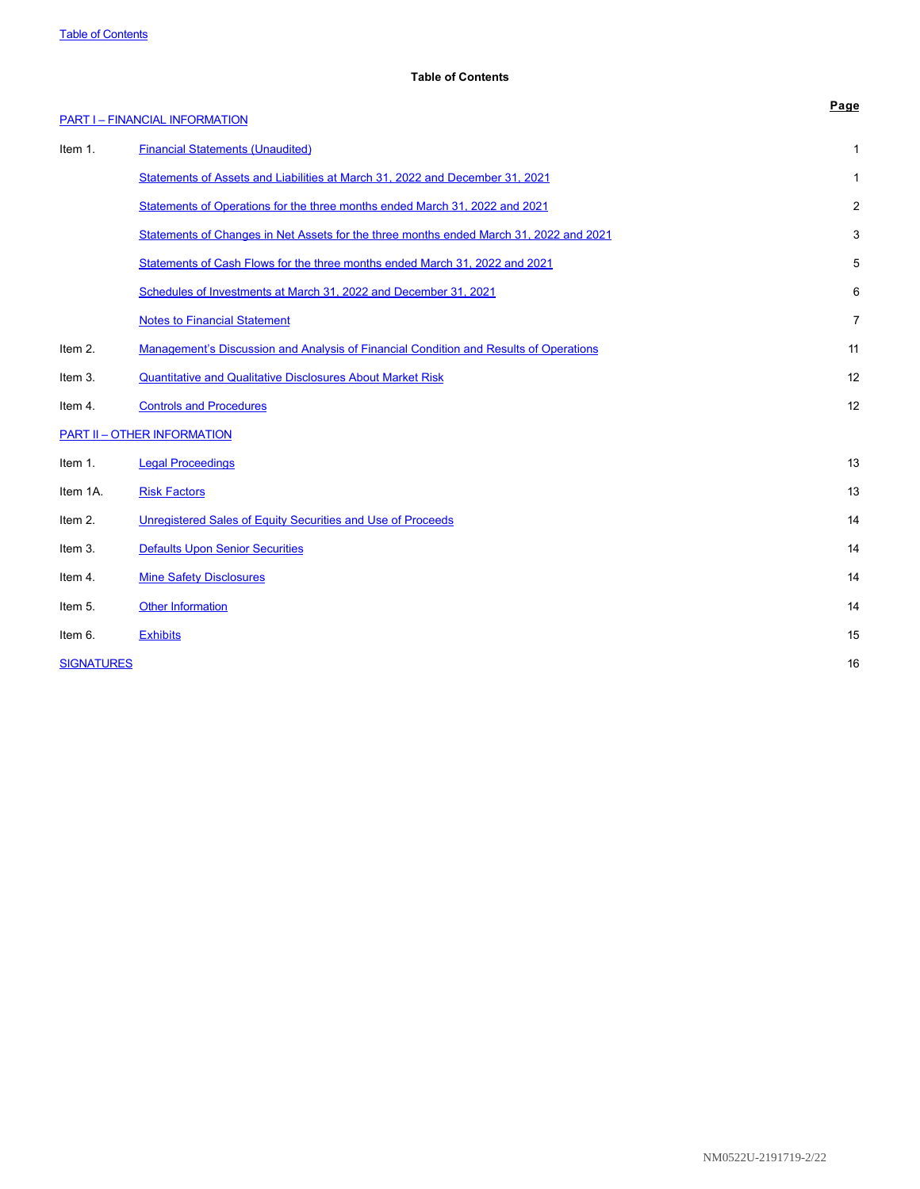# <span id="page-1-0"></span>**Table of Contents**

|                   | <b>PART I-FINANCIAL INFORMATION</b>                                                    | Page           |
|-------------------|----------------------------------------------------------------------------------------|----------------|
| Item 1.           | <b>Financial Statements (Unaudited)</b>                                                | 1              |
|                   | Statements of Assets and Liabilities at March 31, 2022 and December 31, 2021           | 1              |
|                   | Statements of Operations for the three months ended March 31, 2022 and 2021            | 2              |
|                   | Statements of Changes in Net Assets for the three months ended March 31, 2022 and 2021 | 3              |
|                   | Statements of Cash Flows for the three months ended March 31, 2022 and 2021            | 5              |
|                   | Schedules of Investments at March 31, 2022 and December 31, 2021                       | 6              |
|                   | <b>Notes to Financial Statement</b>                                                    | $\overline{7}$ |
| Item 2.           | Management's Discussion and Analysis of Financial Condition and Results of Operations  | 11             |
| Item 3.           | <b>Quantitative and Qualitative Disclosures About Market Risk</b>                      | 12             |
| Item 4.           | <b>Controls and Procedures</b>                                                         | 12             |
|                   | <b>PART II - OTHER INFORMATION</b>                                                     |                |
| Item 1.           | <b>Legal Proceedings</b>                                                               | 13             |
| Item 1A.          | <b>Risk Factors</b>                                                                    | 13             |
| Item 2.           | Unregistered Sales of Equity Securities and Use of Proceeds                            | 14             |
| Item 3.           | <b>Defaults Upon Senior Securities</b>                                                 | 14             |
| Item 4.           | <b>Mine Safety Disclosures</b>                                                         | 14             |
| Item 5.           | <b>Other Information</b>                                                               | 14             |
| Item 6.           | <b>Exhibits</b>                                                                        | 15             |
| <b>SIGNATURES</b> |                                                                                        | 16             |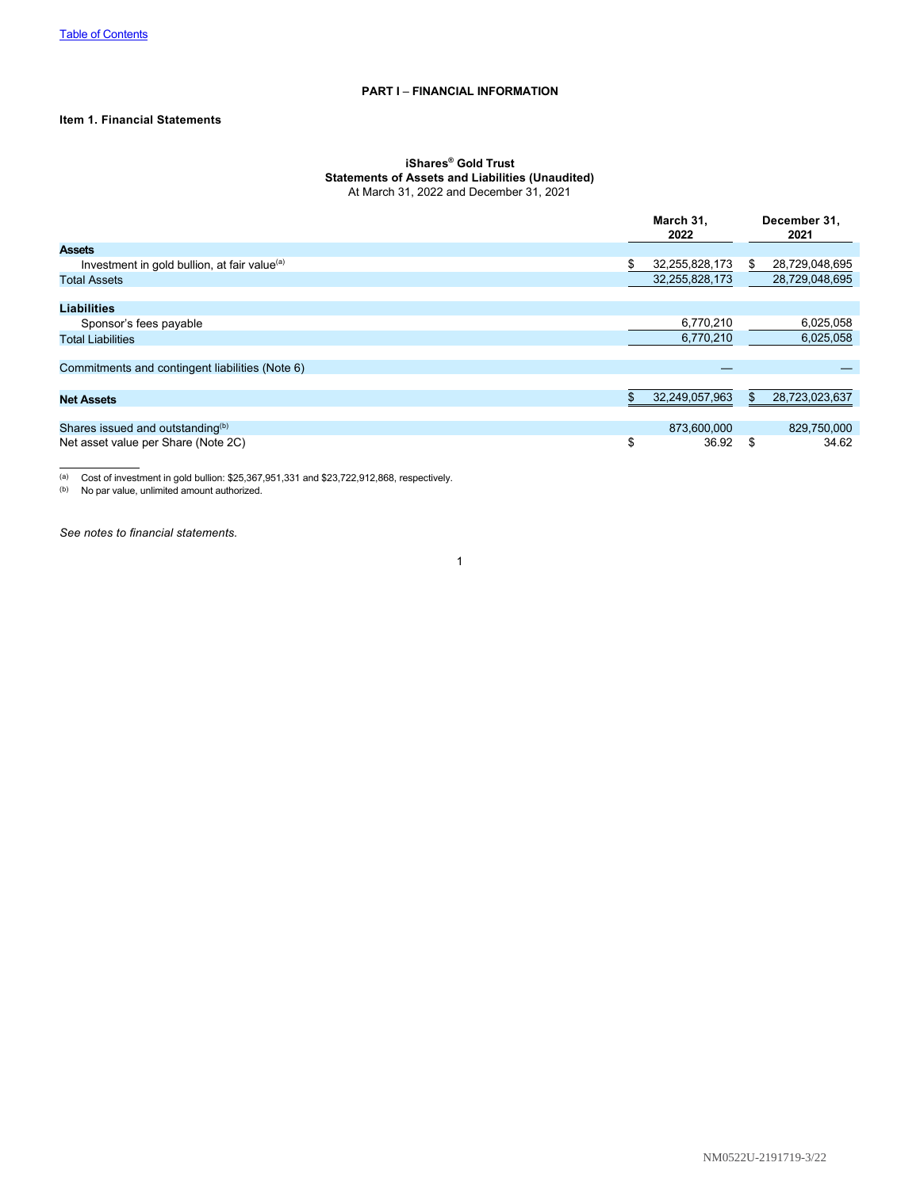# <span id="page-2-0"></span>**PART I** – **FINANCIAL INFORMATION**

# <span id="page-2-1"></span>**Item 1. Financial Statements**

#### <span id="page-2-2"></span>**iShares® Gold Trust Statements of Assets and Liabilities (Unaudited)** At March 31, 2022 and December 31, 2021

|                                                          |    | March 31,<br>2022 |    | December 31,<br>2021 |  |
|----------------------------------------------------------|----|-------------------|----|----------------------|--|
| <b>Assets</b>                                            |    |                   |    |                      |  |
| Investment in gold bullion, at fair value <sup>(a)</sup> | S  | 32,255,828,173    | S. | 28,729,048,695       |  |
| <b>Total Assets</b>                                      |    | 32,255,828,173    |    | 28,729,048,695       |  |
|                                                          |    |                   |    |                      |  |
| <b>Liabilities</b>                                       |    |                   |    |                      |  |
| Sponsor's fees payable                                   |    | 6,770,210         |    | 6,025,058            |  |
| <b>Total Liabilities</b>                                 |    | 6,770,210         |    | 6,025,058            |  |
|                                                          |    |                   |    |                      |  |
| Commitments and contingent liabilities (Note 6)          |    |                   |    |                      |  |
|                                                          |    |                   |    |                      |  |
| <b>Net Assets</b>                                        |    | 32,249,057,963    |    | 28,723,023,637       |  |
|                                                          |    |                   |    |                      |  |
| Shares issued and outstanding <sup>(b)</sup>             |    | 873.600.000       |    | 829,750,000          |  |
| Net asset value per Share (Note 2C)                      | \$ | 36.92             | \$ | 34.62                |  |

(a) Cost of investment in gold bullion: \$25,367,951,331 and \$23,722,912,868, respectively.

(b) No par value, unlimited amount authorized.

*See notes to financial statements.*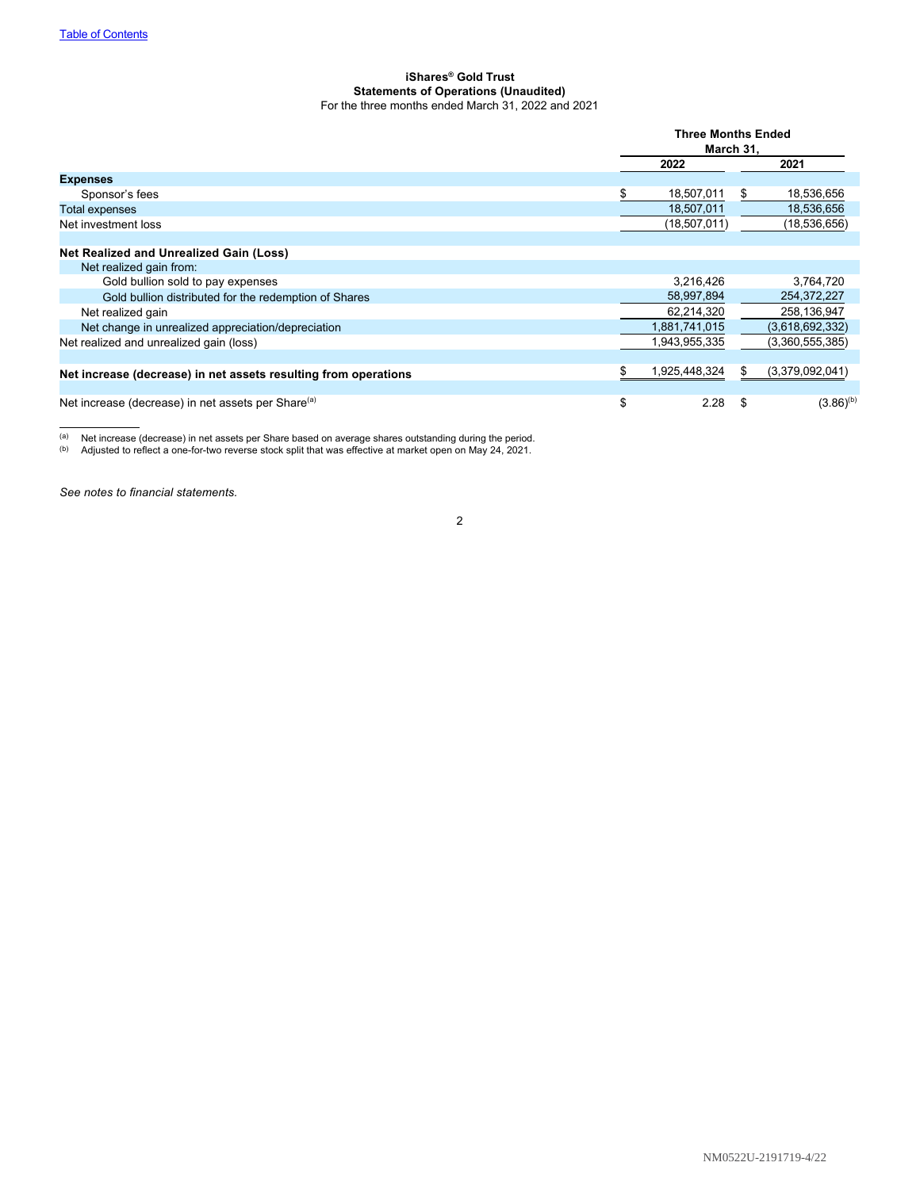#### <span id="page-3-0"></span>**iShares® Gold Trust Statements of Operations (Unaudited)** For the three months ended March 31, 2022 and 2021

|                                                                 | <b>Three Months Ended</b><br>March 31, |     |                 |
|-----------------------------------------------------------------|----------------------------------------|-----|-----------------|
|                                                                 | 2022                                   |     | 2021            |
| <b>Expenses</b>                                                 |                                        |     |                 |
| Sponsor's fees                                                  | 18,507,011                             | S.  | 18,536,656      |
| Total expenses                                                  | 18,507,011                             |     | 18,536,656      |
| Net investment loss                                             | (18,507,011)                           |     | (18,536,656)    |
|                                                                 |                                        |     |                 |
| Net Realized and Unrealized Gain (Loss)                         |                                        |     |                 |
| Net realized gain from:                                         |                                        |     |                 |
| Gold bullion sold to pay expenses                               | 3,216,426                              |     | 3,764,720       |
| Gold bullion distributed for the redemption of Shares           | 58,997,894                             |     | 254,372,227     |
| Net realized gain                                               | 62,214,320                             |     | 258,136,947     |
| Net change in unrealized appreciation/depreciation              | 1,881,741,015                          |     | (3,618,692,332) |
| Net realized and unrealized gain (loss)                         | 1,943,955,335                          |     | (3,360,555,385) |
|                                                                 |                                        |     |                 |
| Net increase (decrease) in net assets resulting from operations | 1,925,448,324                          | \$. | (3,379,092,041) |
|                                                                 |                                        |     |                 |
| Net increase (decrease) in net assets per Share <sup>(a)</sup>  | \$<br>2.28                             |     | $(3.86)^{(b)}$  |

(a) Net increase (decrease) in net assets per Share based on average shares outstanding during the period.

 $(b)$  Adjusted to reflect a one-for-two reverse stock split that was effective at market open on May 24, 2021.

*See notes to financial statements.*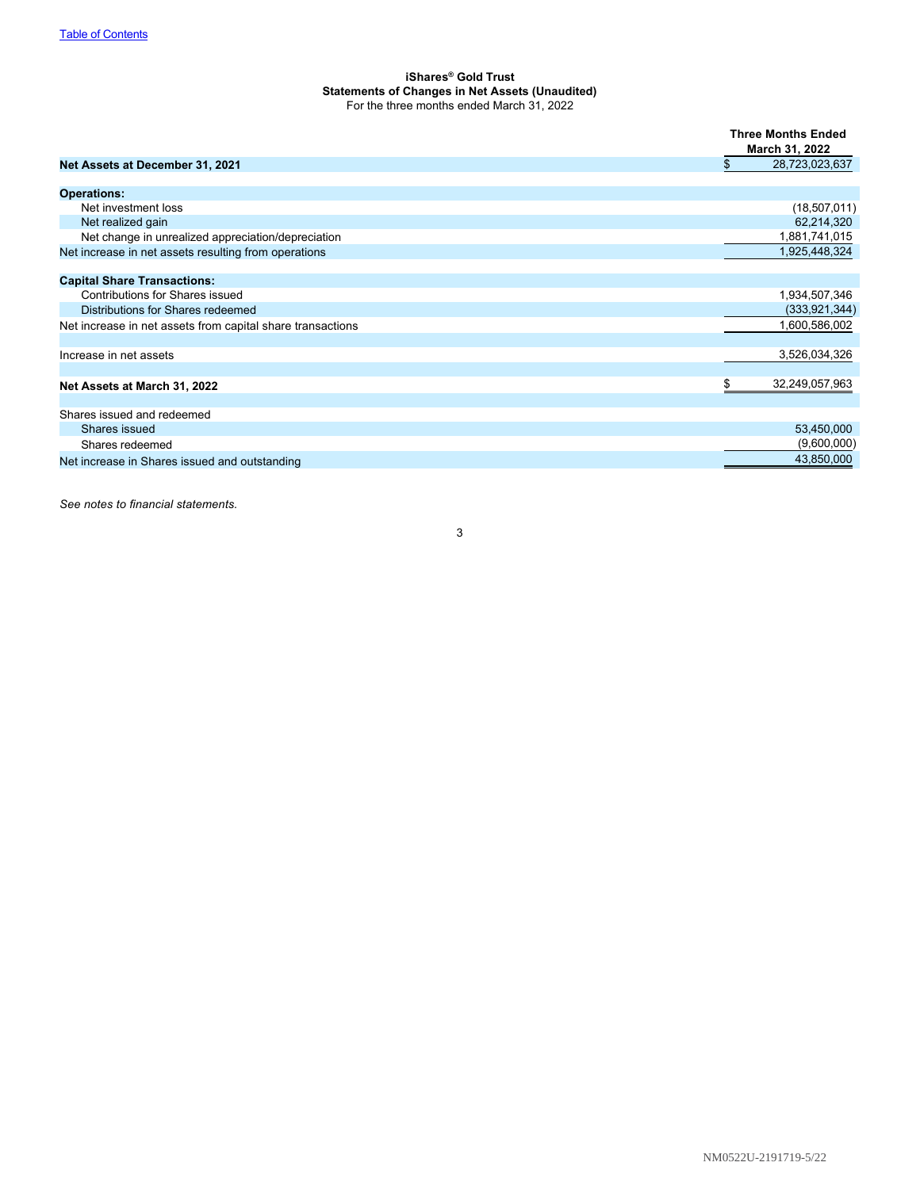### <span id="page-4-0"></span>**iShares® Gold Trust Statements of Changes in Net Assets (Unaudited)** For the three months ended March 31, 2022

|                                                            | <b>Three Months Ended</b><br>March 31, 2022 |
|------------------------------------------------------------|---------------------------------------------|
| Net Assets at December 31, 2021                            | 28,723,023,637<br>\$                        |
| <b>Operations:</b>                                         |                                             |
| Net investment loss                                        | (18,507,011)                                |
| Net realized gain                                          | 62,214,320                                  |
| Net change in unrealized appreciation/depreciation         | 1,881,741,015                               |
| Net increase in net assets resulting from operations       | 1,925,448,324                               |
| <b>Capital Share Transactions:</b>                         |                                             |
| Contributions for Shares issued                            | 1,934,507,346                               |
| Distributions for Shares redeemed                          | (333, 921, 344)                             |
| Net increase in net assets from capital share transactions | 1,600,586,002                               |
| Increase in net assets                                     | 3,526,034,326                               |
| Net Assets at March 31, 2022                               | 32,249,057,963<br>\$                        |
| Shares issued and redeemed                                 |                                             |
| Shares issued                                              | 53,450,000                                  |
| Shares redeemed                                            | (9,600,000)                                 |
| Net increase in Shares issued and outstanding              | 43,850,000                                  |

*See notes to financial statements.*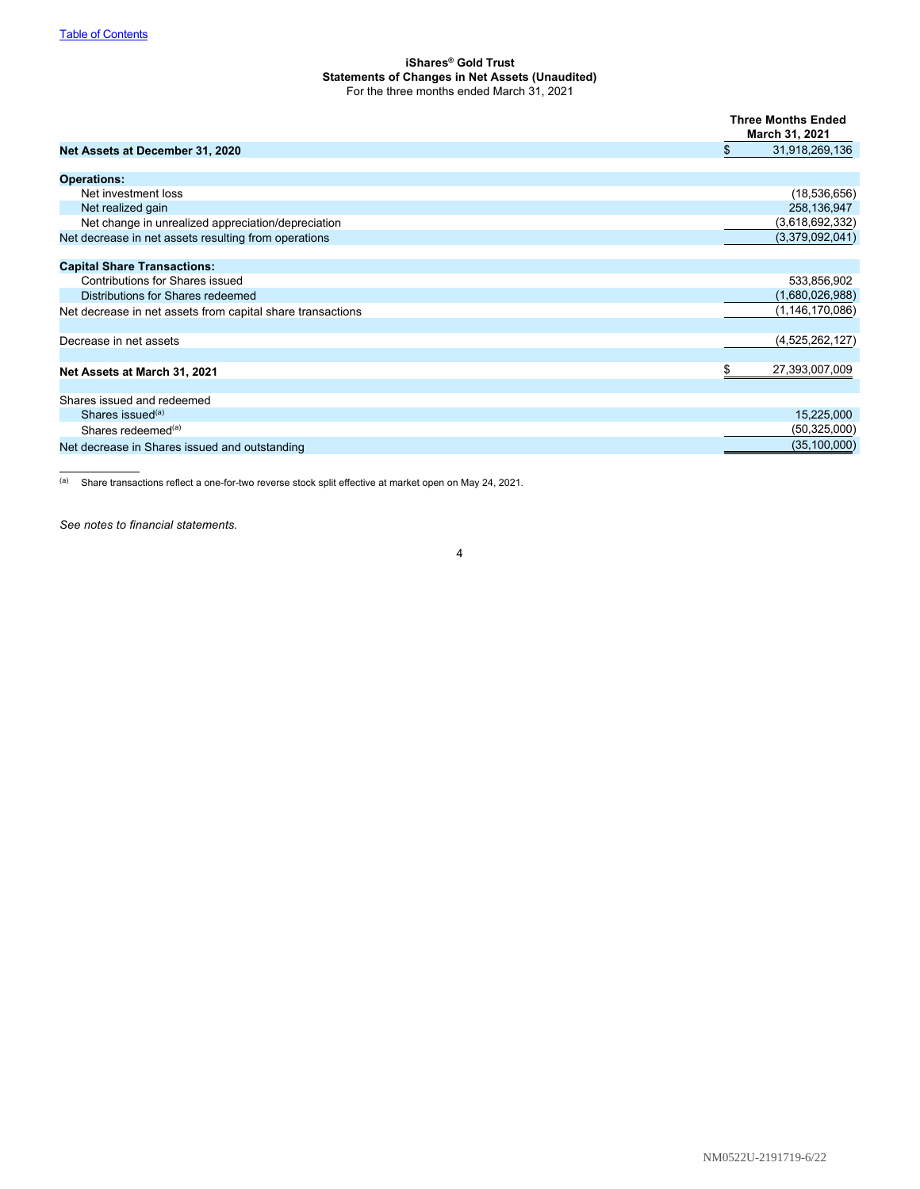#### **iShares® Gold Trust Statements of Changes in Net Assets (Unaudited)** For the three months ended March 31, 2021

|                                                            | <b>Three Months Ended</b><br>March 31, 2021 |
|------------------------------------------------------------|---------------------------------------------|
| Net Assets at December 31, 2020                            | $\$\$<br>31,918,269,136                     |
| <b>Operations:</b>                                         |                                             |
| Net investment loss                                        | (18, 536, 656)                              |
| Net realized gain                                          | 258,136,947                                 |
| Net change in unrealized appreciation/depreciation         | (3,618,692,332)                             |
| Net decrease in net assets resulting from operations       | (3,379,092,041)                             |
| <b>Capital Share Transactions:</b>                         |                                             |
| <b>Contributions for Shares issued</b>                     | 533,856,902                                 |
| Distributions for Shares redeemed                          | (1,680,026,988)                             |
| Net decrease in net assets from capital share transactions | (1, 146, 170, 086)                          |
| Decrease in net assets                                     | (4,525,262,127)                             |
| Net Assets at March 31, 2021                               | \$<br>27,393,007,009                        |
| Shares issued and redeemed                                 |                                             |
| Shares issued <sup>(a)</sup>                               | 15,225,000                                  |
| Shares redeemed $(a)$                                      | (50, 325, 000)                              |
| Net decrease in Shares issued and outstanding              | (35, 100, 000)                              |

(a) Share transactions reflect a one-for-two reverse stock split effective at market open on May 24, 2021.

*See notes to financial statements.*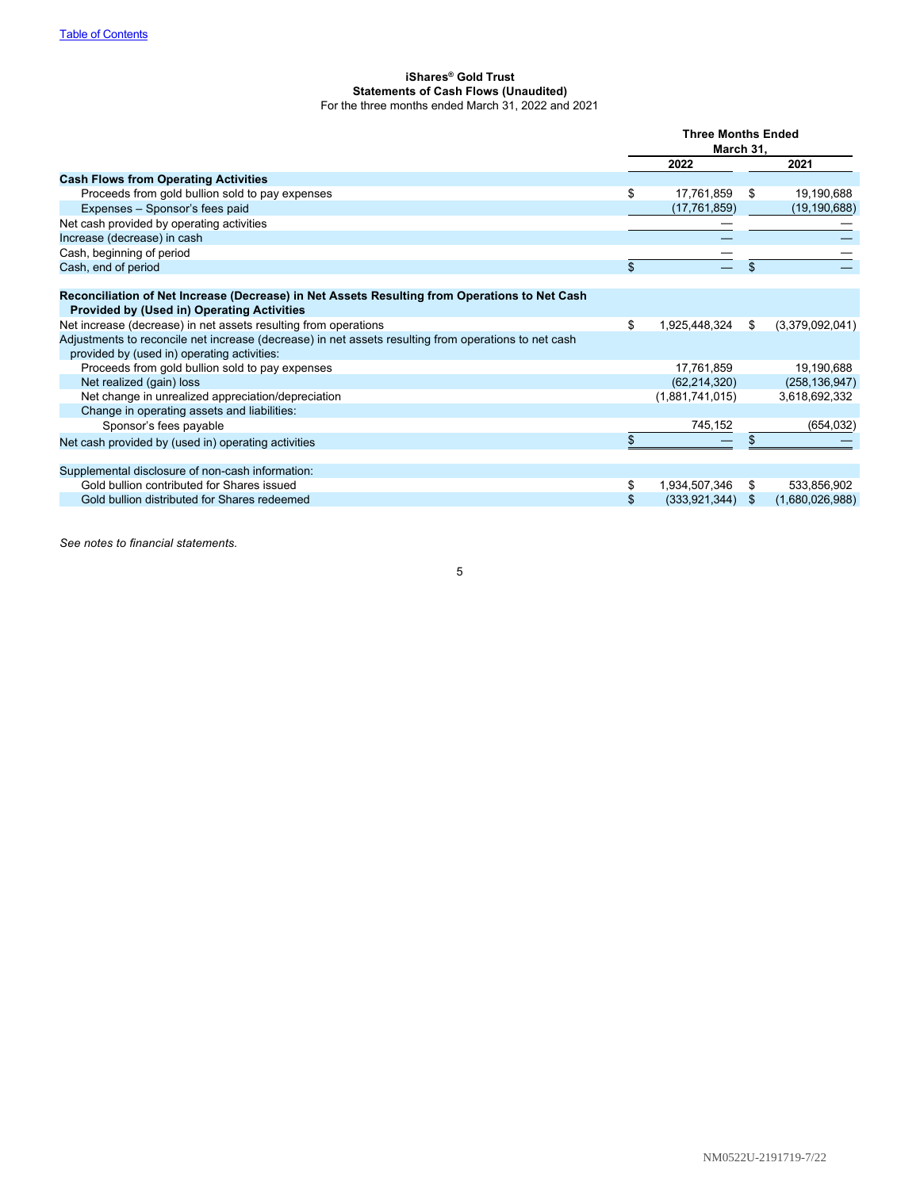#### <span id="page-6-0"></span>**iShares® Gold Trust Statements of Cash Flows (Unaudited)** For the three months ended March 31, 2022 and 2021

|                                                                                                                                                    | <b>Three Months Ended</b><br>March 31, |                    |     |                 |
|----------------------------------------------------------------------------------------------------------------------------------------------------|----------------------------------------|--------------------|-----|-----------------|
|                                                                                                                                                    |                                        | 2022               |     | 2021            |
| <b>Cash Flows from Operating Activities</b>                                                                                                        |                                        |                    |     |                 |
| Proceeds from gold bullion sold to pay expenses                                                                                                    | \$                                     | 17,761,859         | \$  | 19,190,688      |
| Expenses - Sponsor's fees paid                                                                                                                     |                                        | (17, 761, 859)     |     | (19, 190, 688)  |
| Net cash provided by operating activities                                                                                                          |                                        |                    |     |                 |
| Increase (decrease) in cash                                                                                                                        |                                        |                    |     |                 |
| Cash, beginning of period                                                                                                                          |                                        |                    |     |                 |
| Cash, end of period                                                                                                                                | \$                                     |                    | \$  |                 |
|                                                                                                                                                    |                                        |                    |     |                 |
| Reconciliation of Net Increase (Decrease) in Net Assets Resulting from Operations to Net Cash<br><b>Provided by (Used in) Operating Activities</b> |                                        |                    |     |                 |
| Net increase (decrease) in net assets resulting from operations                                                                                    | \$                                     | 1,925,448,324      | \$  | (3,379,092,041) |
| Adjustments to reconcile net increase (decrease) in net assets resulting from operations to net cash                                               |                                        |                    |     |                 |
| provided by (used in) operating activities:                                                                                                        |                                        |                    |     |                 |
| Proceeds from gold bullion sold to pay expenses                                                                                                    |                                        | 17,761,859         |     | 19,190,688      |
| Net realized (gain) loss                                                                                                                           |                                        | (62, 214, 320)     |     | (258, 136, 947) |
| Net change in unrealized appreciation/depreciation                                                                                                 |                                        | (1,881,741,015)    |     | 3,618,692,332   |
| Change in operating assets and liabilities:                                                                                                        |                                        |                    |     |                 |
| Sponsor's fees payable                                                                                                                             |                                        | 745,152            |     | (654, 032)      |
| Net cash provided by (used in) operating activities                                                                                                | \$                                     |                    |     |                 |
| Supplemental disclosure of non-cash information:                                                                                                   |                                        |                    |     |                 |
| Gold bullion contributed for Shares issued                                                                                                         | \$                                     | 1,934,507,346      | \$. | 533,856,902     |
| Gold bullion distributed for Shares redeemed                                                                                                       | \$                                     | $(333,921,344)$ \$ |     | (1,680,026,988) |

*See notes to financial statements.*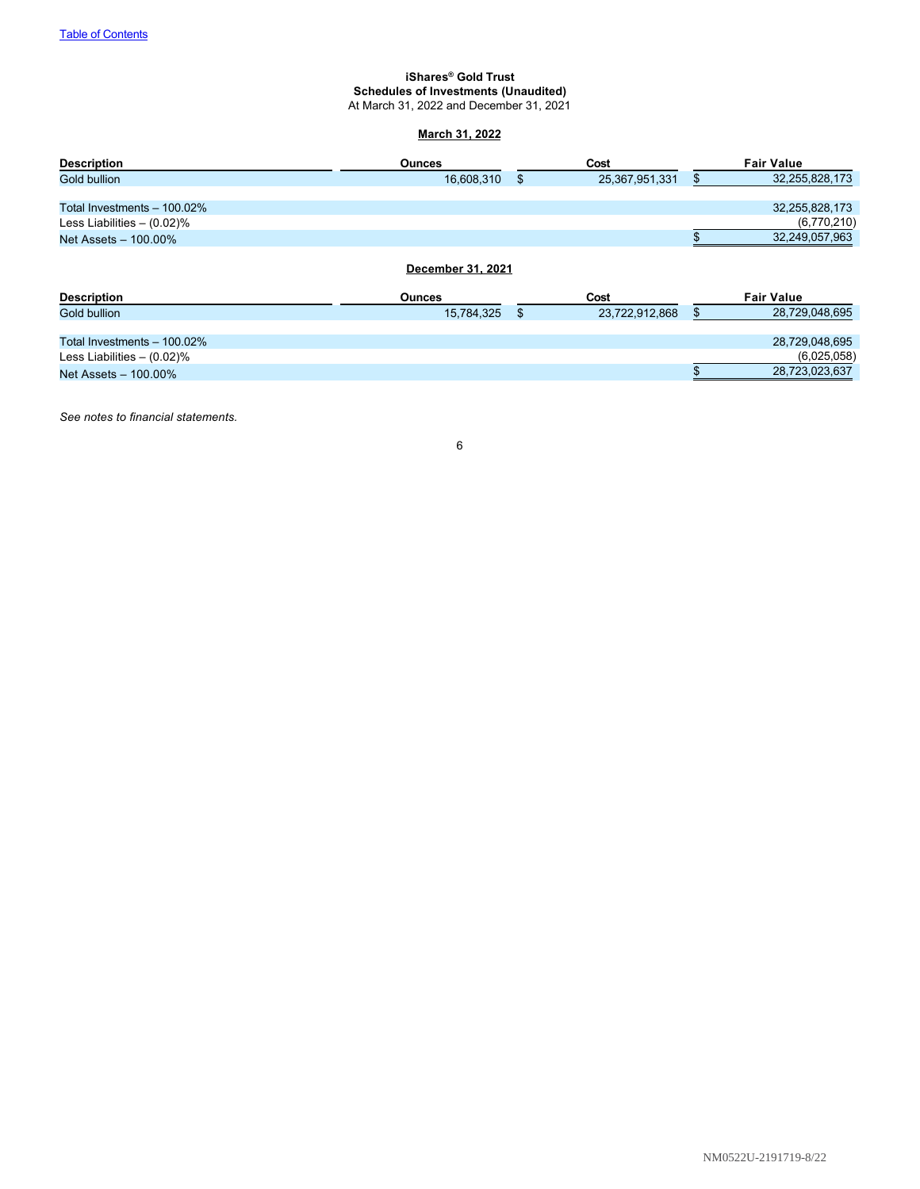#### <span id="page-7-0"></span>**iShares® Gold Trust Schedules of Investments (Unaudited)** At March 31, 2022 and December 31, 2021

# **March 31, 2022**

| <b>Description</b>            | <b>Ounces</b>     | Cost                 | <b>Fair Value</b>    |
|-------------------------------|-------------------|----------------------|----------------------|
| Gold bullion                  | 16,608,310        | \$<br>25,367,951,331 | \$<br>32,255,828,173 |
|                               |                   |                      |                      |
| Total Investments - 100.02%   |                   |                      | 32,255,828,173       |
| Less Liabilities $- (0.02)\%$ |                   |                      | (6,770,210)          |
| Net Assets - 100.00%          |                   |                      | 32,249,057,963       |
|                               | December 31, 2021 |                      |                      |
| <b>Description</b>            | <b>Ounces</b>     | Cost                 | <b>Fair Value</b>    |
| Gold bullion                  | 15,784,325        | \$<br>23,722,912,868 | \$<br>28,729,048,695 |
| Total Investments - 100.02%   |                   |                      | 28,729,048,695       |
| Less Liabilities $- (0.02)\%$ |                   |                      | (6,025,058)          |
| Net Assets - 100.00%          |                   |                      | 28,723,023,637       |

*See notes to financial statements.*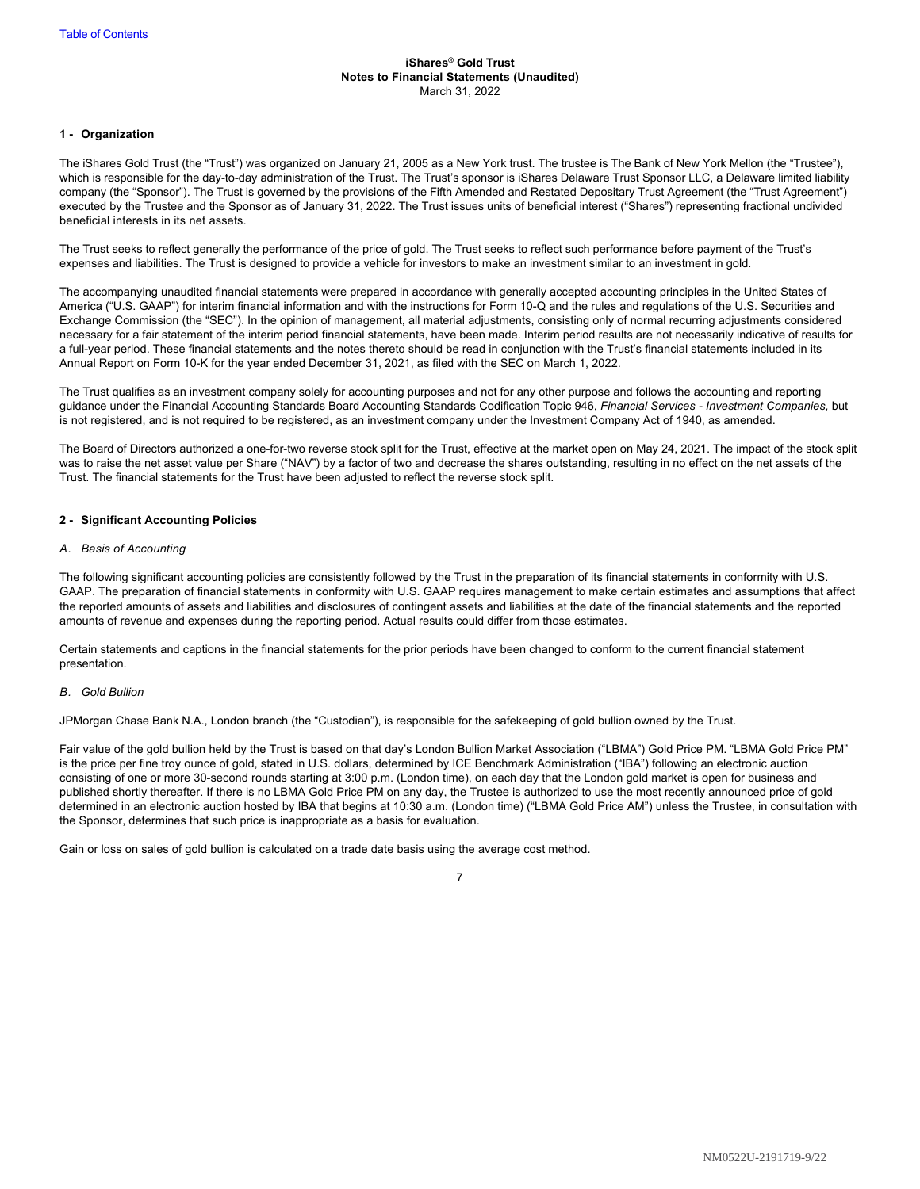#### <span id="page-8-0"></span>**iShares® Gold Trust Notes to Financial Statements (Unaudited)** March 31, 2022

#### **1 - Organization**

The iShares Gold Trust (the "Trust") was organized on January 21, 2005 as a New York trust. The trustee is The Bank of New York Mellon (the "Trustee"), which is responsible for the day-to-day administration of the Trust. The Trust's sponsor is iShares Delaware Trust Sponsor LLC, a Delaware limited liability company (the "Sponsor"). The Trust is governed by the provisions of the Fifth Amended and Restated Depositary Trust Agreement (the "Trust Agreement") executed by the Trustee and the Sponsor as of January 31, 2022. The Trust issues units of beneficial interest ("Shares") representing fractional undivided beneficial interests in its net assets.

The Trust seeks to reflect generally the performance of the price of gold. The Trust seeks to reflect such performance before payment of the Trust's expenses and liabilities. The Trust is designed to provide a vehicle for investors to make an investment similar to an investment in gold.

The accompanying unaudited financial statements were prepared in accordance with generally accepted accounting principles in the United States of America ("U.S. GAAP") for interim financial information and with the instructions for Form 10-Q and the rules and regulations of the U.S. Securities and Exchange Commission (the "SEC"). In the opinion of management, all material adjustments, consisting only of normal recurring adjustments considered necessary for a fair statement of the interim period financial statements, have been made. Interim period results are not necessarily indicative of results for a full-year period. These financial statements and the notes thereto should be read in conjunction with the Trust's financial statements included in its Annual Report on Form 10-K for the year ended December 31, 2021, as filed with the SEC on March 1, 2022.

The Trust qualifies as an investment company solely for accounting purposes and not for any other purpose and follows the accounting and reporting guidance under the Financial Accounting Standards Board Accounting Standards Codification Topic 946, *Financial Services - Investment Companies,* but is not registered, and is not required to be registered, as an investment company under the Investment Company Act of 1940, as amended.

The Board of Directors authorized a one-for-two reverse stock split for the Trust, effective at the market open on May 24, 2021. The impact of the stock split was to raise the net asset value per Share ("NAV") by a factor of two and decrease the shares outstanding, resulting in no effect on the net assets of the Trust. The financial statements for the Trust have been adjusted to reflect the reverse stock split.

#### **2 - Significant Accounting Policies**

#### *A. Basis of Accounting*

The following significant accounting policies are consistently followed by the Trust in the preparation of its financial statements in conformity with U.S. GAAP. The preparation of financial statements in conformity with U.S. GAAP requires management to make certain estimates and assumptions that affect the reported amounts of assets and liabilities and disclosures of contingent assets and liabilities at the date of the financial statements and the reported amounts of revenue and expenses during the reporting period. Actual results could differ from those estimates.

Certain statements and captions in the financial statements for the prior periods have been changed to conform to the current financial statement presentation.

#### *B. Gold Bullion*

JPMorgan Chase Bank N.A., London branch (the "Custodian"), is responsible for the safekeeping of gold bullion owned by the Trust.

Fair value of the gold bullion held by the Trust is based on that day's London Bullion Market Association ("LBMA") Gold Price PM. "LBMA Gold Price PM" is the price per fine troy ounce of gold, stated in U.S. dollars, determined by ICE Benchmark Administration ("IBA") following an electronic auction consisting of one or more 30-second rounds starting at 3:00 p.m. (London time), on each day that the London gold market is open for business and published shortly thereafter. If there is no LBMA Gold Price PM on any day, the Trustee is authorized to use the most recently announced price of gold determined in an electronic auction hosted by IBA that begins at 10:30 a.m. (London time) ("LBMA Gold Price AM") unless the Trustee, in consultation with the Sponsor, determines that such price is inappropriate as a basis for evaluation.

Gain or loss on sales of gold bullion is calculated on a trade date basis using the average cost method.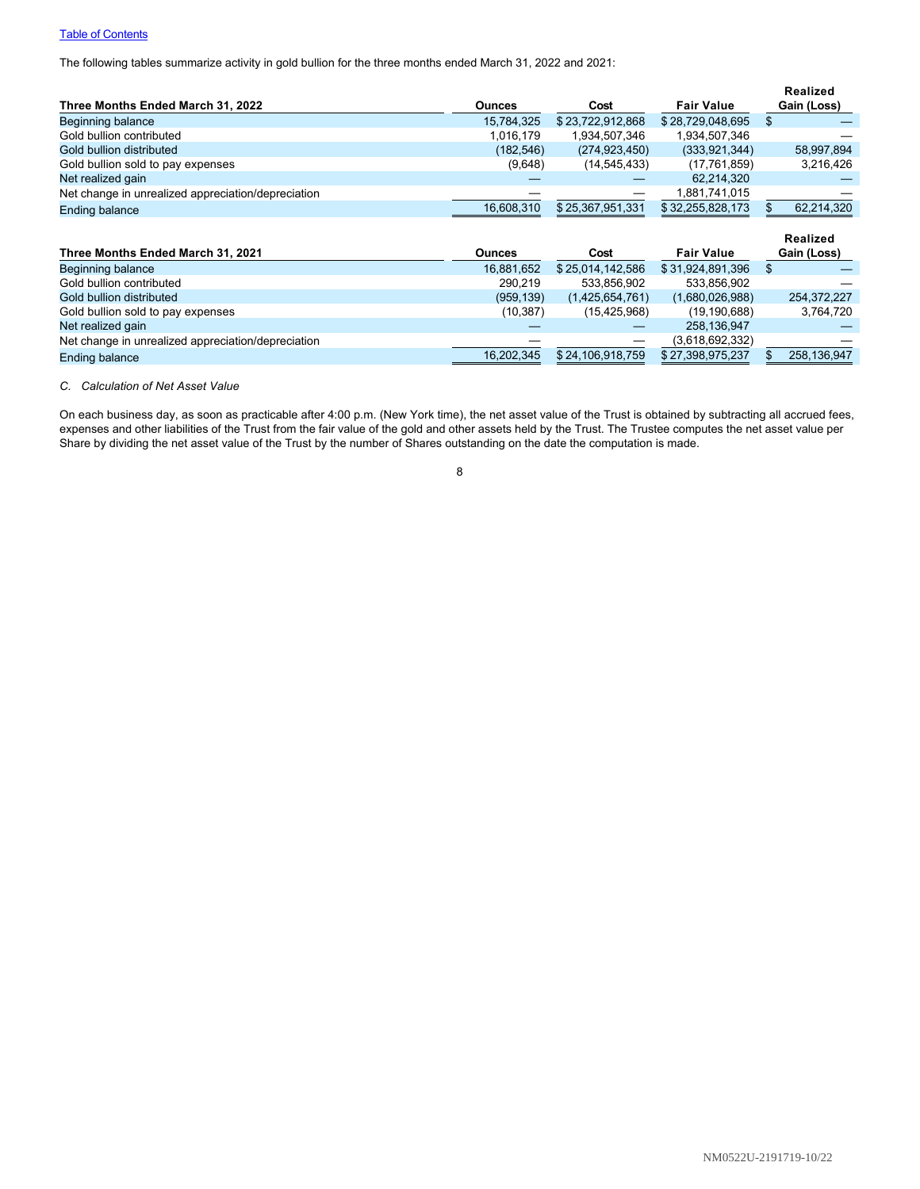# **[Table of Contents](#page-1-0)**

The following tables summarize activity in gold bullion for the three months ended March 31, 2022 and 2021:

|                                                    |               |                  |                   | <b>Realized</b> |
|----------------------------------------------------|---------------|------------------|-------------------|-----------------|
| Three Months Ended March 31, 2022                  | <b>Ounces</b> | Cost             | <b>Fair Value</b> | Gain (Loss)     |
| <b>Beginning balance</b>                           | 15,784,325    | \$23,722,912,868 | \$28,729,048,695  | \$              |
| Gold bullion contributed                           | 1,016,179     | 1,934,507,346    | 1,934,507,346     |                 |
| Gold bullion distributed                           | (182, 546)    | (274, 923, 450)  | (333, 921, 344)   | 58,997,894      |
| Gold bullion sold to pay expenses                  | (9,648)       | (14, 545, 433)   | (17, 761, 859)    | 3,216,426       |
| Net realized gain                                  |               |                  | 62,214,320        |                 |
| Net change in unrealized appreciation/depreciation |               |                  | 1,881,741,015     |                 |
| <b>Ending balance</b>                              | 16,608,310    | \$25,367,951,331 | \$32,255,828,173  | 62,214,320      |
|                                                    |               |                  |                   |                 |
|                                                    |               |                  |                   | <b>Realized</b> |
| Three Months Ended March 31, 2021                  | <b>Ounces</b> | Cost             | <b>Fair Value</b> | Gain (Loss)     |
| Beginning balance                                  | 16,881,652    | \$25,014,142,586 | \$31,924,891,396  | \$              |
| Gold bullion contributed                           | 290,219       | 533,856,902      | 533,856,902       |                 |
| Gold bullion distributed                           | (959, 139)    | (1,425,654,761)  | (1,680,026,988)   | 254,372,227     |
| Gold bullion sold to pay expenses                  | (10, 387)     | (15, 425, 968)   | (19, 190, 688)    | 3,764,720       |
| Net realized gain                                  |               |                  | 258,136,947       |                 |
| Net change in unrealized appreciation/depreciation |               |                  | (3,618,692,332)   |                 |

*C. Calculation of Net Asset Value*

On each business day, as soon as practicable after 4:00 p.m. (New York time), the net asset value of the Trust is obtained by subtracting all accrued fees, expenses and other liabilities of the Trust from the fair value of the gold and other assets held by the Trust. The Trustee computes the net asset value per Share by dividing the net asset value of the Trust by the number of Shares outstanding on the date the computation is made.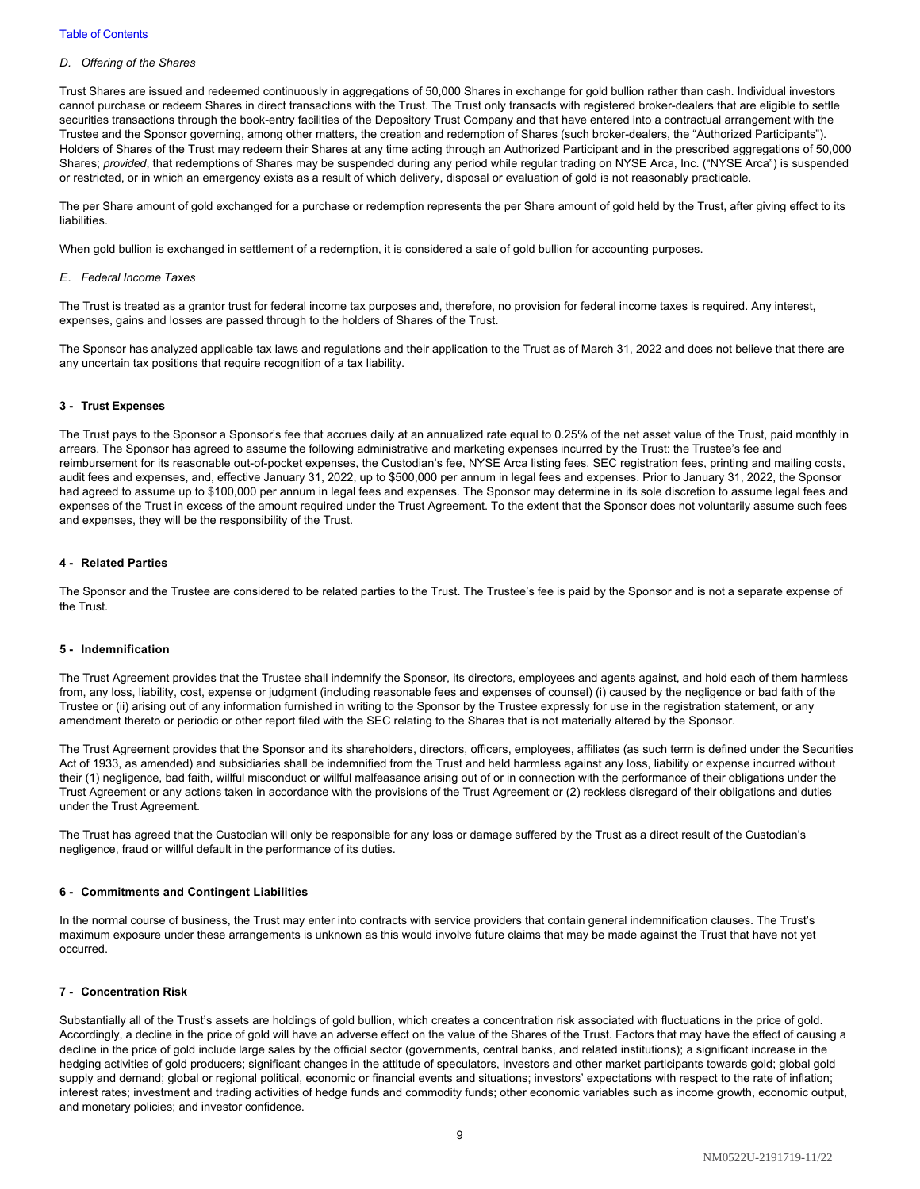#### *D. Offering of the Shares*

Trust Shares are issued and redeemed continuously in aggregations of 50,000 Shares in exchange for gold bullion rather than cash. Individual investors cannot purchase or redeem Shares in direct transactions with the Trust. The Trust only transacts with registered broker-dealers that are eligible to settle securities transactions through the book-entry facilities of the Depository Trust Company and that have entered into a contractual arrangement with the Trustee and the Sponsor governing, among other matters, the creation and redemption of Shares (such broker-dealers, the "Authorized Participants"). Holders of Shares of the Trust may redeem their Shares at any time acting through an Authorized Participant and in the prescribed aggregations of 50,000 Shares; *provided*, that redemptions of Shares may be suspended during any period while regular trading on NYSE Arca, Inc. ("NYSE Arca") is suspended or restricted, or in which an emergency exists as a result of which delivery, disposal or evaluation of gold is not reasonably practicable.

The per Share amount of gold exchanged for a purchase or redemption represents the per Share amount of gold held by the Trust, after giving effect to its liabilities.

When gold bullion is exchanged in settlement of a redemption, it is considered a sale of gold bullion for accounting purposes.

#### *E. Federal Income Taxes*

The Trust is treated as a grantor trust for federal income tax purposes and, therefore, no provision for federal income taxes is required. Any interest, expenses, gains and losses are passed through to the holders of Shares of the Trust.

The Sponsor has analyzed applicable tax laws and regulations and their application to the Trust as of March 31, 2022 and does not believe that there are any uncertain tax positions that require recognition of a tax liability.

#### **3 - Trust Expenses**

The Trust pays to the Sponsor a Sponsor's fee that accrues daily at an annualized rate equal to 0.25% of the net asset value of the Trust, paid monthly in arrears. The Sponsor has agreed to assume the following administrative and marketing expenses incurred by the Trust: the Trustee's fee and reimbursement for its reasonable out-of-pocket expenses, the Custodian's fee, NYSE Arca listing fees, SEC registration fees, printing and mailing costs, audit fees and expenses, and, effective January 31, 2022, up to \$500,000 per annum in legal fees and expenses. Prior to January 31, 2022, the Sponsor had agreed to assume up to \$100,000 per annum in legal fees and expenses. The Sponsor may determine in its sole discretion to assume legal fees and expenses of the Trust in excess of the amount required under the Trust Agreement. To the extent that the Sponsor does not voluntarily assume such fees and expenses, they will be the responsibility of the Trust.

#### **4 - Related Parties**

The Sponsor and the Trustee are considered to be related parties to the Trust. The Trustee's fee is paid by the Sponsor and is not a separate expense of the Trust.

#### **5 - Indemnification**

The Trust Agreement provides that the Trustee shall indemnify the Sponsor, its directors, employees and agents against, and hold each of them harmless from, any loss, liability, cost, expense or judgment (including reasonable fees and expenses of counsel) (i) caused by the negligence or bad faith of the Trustee or (ii) arising out of any information furnished in writing to the Sponsor by the Trustee expressly for use in the registration statement, or any amendment thereto or periodic or other report filed with the SEC relating to the Shares that is not materially altered by the Sponsor.

The Trust Agreement provides that the Sponsor and its shareholders, directors, officers, employees, affiliates (as such term is defined under the Securities Act of 1933, as amended) and subsidiaries shall be indemnified from the Trust and held harmless against any loss, liability or expense incurred without their (1) negligence, bad faith, willful misconduct or willful malfeasance arising out of or in connection with the performance of their obligations under the Trust Agreement or any actions taken in accordance with the provisions of the Trust Agreement or (2) reckless disregard of their obligations and duties under the Trust Agreement.

The Trust has agreed that the Custodian will only be responsible for any loss or damage suffered by the Trust as a direct result of the Custodian's negligence, fraud or willful default in the performance of its duties.

#### **6 - Commitments and Contingent Liabilities**

In the normal course of business, the Trust may enter into contracts with service providers that contain general indemnification clauses. The Trust's maximum exposure under these arrangements is unknown as this would involve future claims that may be made against the Trust that have not yet occurred.

### **7 - Concentration Risk**

Substantially all of the Trust's assets are holdings of gold bullion, which creates a concentration risk associated with fluctuations in the price of gold. Accordingly, a decline in the price of gold will have an adverse effect on the value of the Shares of the Trust. Factors that may have the effect of causing a decline in the price of gold include large sales by the official sector (governments, central banks, and related institutions); a significant increase in the hedging activities of gold producers; significant changes in the attitude of speculators, investors and other market participants towards gold; global gold supply and demand; global or regional political, economic or financial events and situations; investors' expectations with respect to the rate of inflation; interest rates; investment and trading activities of hedge funds and commodity funds; other economic variables such as income growth, economic output, and monetary policies; and investor confidence.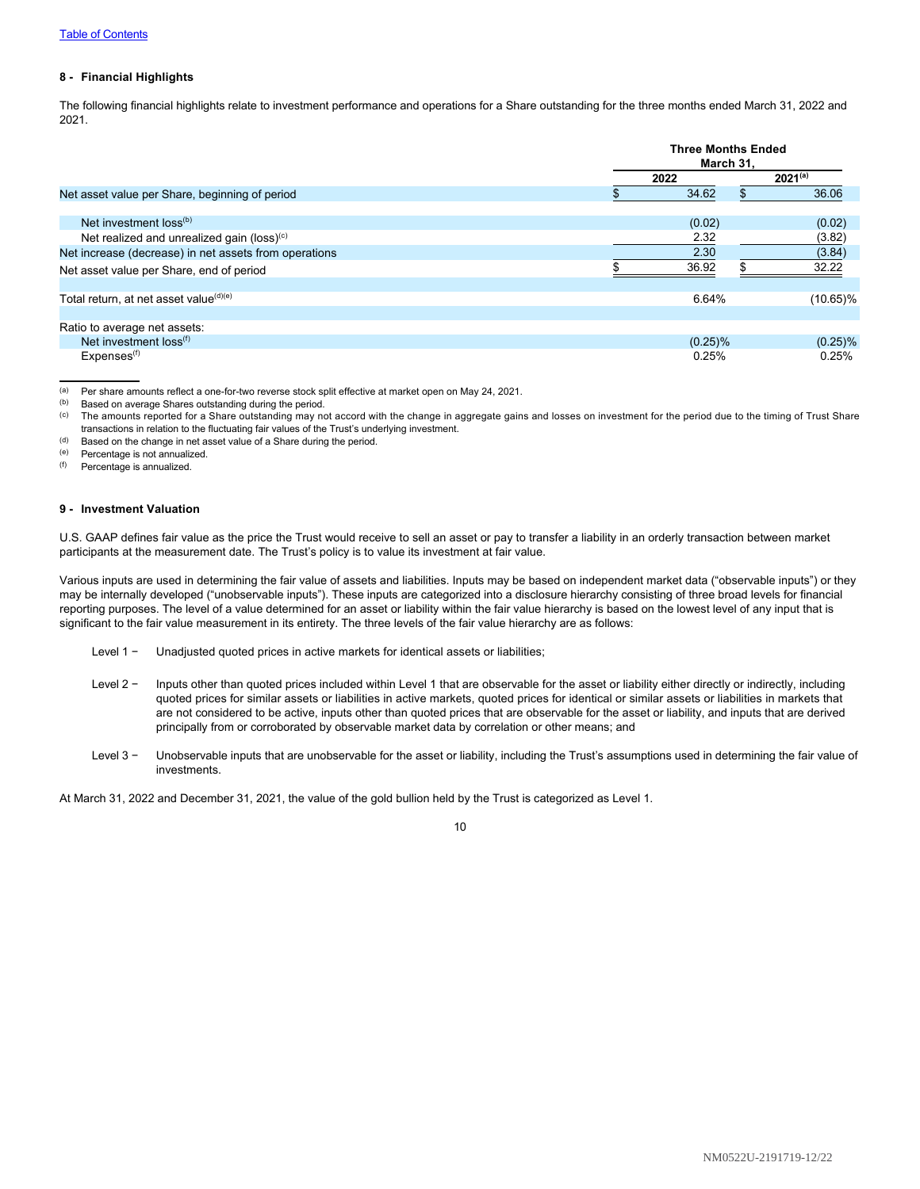#### **8 - Financial Highlights**

The following financial highlights relate to investment performance and operations for a Share outstanding for the three months ended March 31, 2022 and 2021.

|                                                        |      | <b>Three Months Ended</b><br>March 31. |              |  |
|--------------------------------------------------------|------|----------------------------------------|--------------|--|
|                                                        | 2022 |                                        | $2021^{(a)}$ |  |
| Net asset value per Share, beginning of period         |      | 34.62<br>\$                            | 36.06        |  |
|                                                        |      |                                        |              |  |
| Net investment $loss^{(b)}$                            |      | (0.02)                                 | (0.02)       |  |
| Net realized and unrealized gain (loss) <sup>(c)</sup> |      | 2.32                                   | (3.82)       |  |
| Net increase (decrease) in net assets from operations  |      | 2.30                                   | (3.84)       |  |
| Net asset value per Share, end of period               |      | 36.92                                  | 32.22        |  |
|                                                        |      |                                        |              |  |
| Total return, at net asset value <sup>(d)(e)</sup>     |      | 6.64%                                  | $(10.65)\%$  |  |
|                                                        |      |                                        |              |  |
| Ratio to average net assets:                           |      |                                        |              |  |
| Net investment loss <sup>(f)</sup>                     |      | $(0.25)\%$                             | $(0.25)\%$   |  |
| Expenses <sup>(f)</sup>                                |      | 0.25%                                  | 0.25%        |  |

(a) Per share amounts reflect a one-for-two reverse stock split effective at market open on May 24, 2021.<br>(b) Based on average Shares outstanding during the period

Based on average Shares outstanding during the period.

- <sup>(c)</sup> The amounts reported for a Share outstanding may not accord with the change in aggregate gains and losses on investment for the period due to the timing of Trust Share transactions in relation to the fluctuating fair values of the Trust's underlying investment.
- (d) Based on the change in net asset value of a Share during the period.

(e) Percentage is not annualized.

(f) Percentage is annualized.

#### **9 - Investment Valuation**

U.S. GAAP defines fair value as the price the Trust would receive to sell an asset or pay to transfer a liability in an orderly transaction between market participants at the measurement date. The Trust's policy is to value its investment at fair value.

Various inputs are used in determining the fair value of assets and liabilities. Inputs may be based on independent market data ("observable inputs") or they may be internally developed ("unobservable inputs"). These inputs are categorized into a disclosure hierarchy consisting of three broad levels for financial reporting purposes. The level of a value determined for an asset or liability within the fair value hierarchy is based on the lowest level of any input that is significant to the fair value measurement in its entirety. The three levels of the fair value hierarchy are as follows:

- Level 1 − Unadjusted quoted prices in active markets for identical assets or liabilities;
- Level 2 − Inputs other than quoted prices included within Level 1 that are observable for the asset or liability either directly or indirectly, including quoted prices for similar assets or liabilities in active markets, quoted prices for identical or similar assets or liabilities in markets that are not considered to be active, inputs other than quoted prices that are observable for the asset or liability, and inputs that are derived principally from or corroborated by observable market data by correlation or other means; and
- Level 3 − Unobservable inputs that are unobservable for the asset or liability, including the Trust's assumptions used in determining the fair value of investments.

At March 31, 2022 and December 31, 2021, the value of the gold bullion held by the Trust is categorized as Level 1.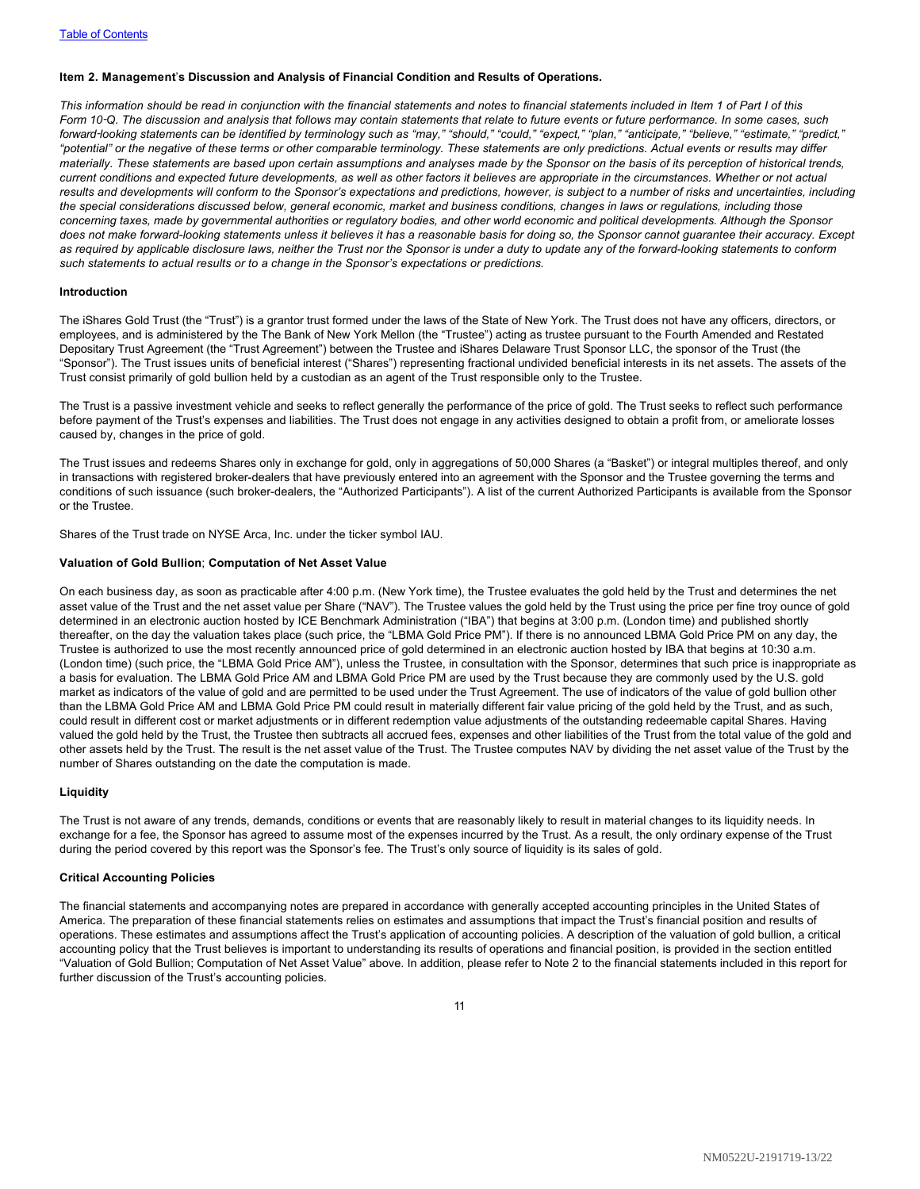#### <span id="page-12-0"></span>**Item 2. Management**'**s Discussion and Analysis of Financial Condition and Results of Operations.**

*This information should be read in conjunction with the financial statements and notes to financial statements included in Item 1 of Part I of this Form 10*‑*Q. The discussion and analysis that follows may contain statements that relate to future events or future performance. In some cases, such forward*‑*looking statements can be identified by terminology such as "may," "should," "could," "expect," "plan," "anticipate," "believe," "estimate," "predict," "potential" or the negative of these terms or other comparable terminology. These statements are only predictions. Actual events or results may differ materially. These statements are based upon certain assumptions and analyses made by the Sponsor on the basis of its perception of historical trends, current conditions and expected future developments, as well as other factors it believes are appropriate in the circumstances. Whether or not actual results and developments will conform to the Sponsor's expectations and predictions, however, is subject to a number of risks and uncertainties, including the special considerations discussed below, general economic, market and business conditions, changes in laws or regulations, including those concerning taxes, made by governmental authorities or regulatory bodies, and other world economic and political developments. Although the Sponsor does not make forward-looking statements unless it believes it has a reasonable basis for doing so, the Sponsor cannot guarantee their accuracy. Except as required by applicable disclosure laws, neither the Trust nor the Sponsor is under a duty to update any of the forward-looking statements to conform such statements to actual results or to a change in the Sponsor's expectations or predictions.*

#### **Introduction**

The iShares Gold Trust (the "Trust") is a grantor trust formed under the laws of the State of New York. The Trust does not have any officers, directors, or employees, and is administered by the The Bank of New York Mellon (the "Trustee") acting as trustee pursuant to the Fourth Amended and Restated Depositary Trust Agreement (the "Trust Agreement") between the Trustee and iShares Delaware Trust Sponsor LLC, the sponsor of the Trust (the "Sponsor"). The Trust issues units of beneficial interest ("Shares") representing fractional undivided beneficial interests in its net assets. The assets of the Trust consist primarily of gold bullion held by a custodian as an agent of the Trust responsible only to the Trustee.

The Trust is a passive investment vehicle and seeks to reflect generally the performance of the price of gold. The Trust seeks to reflect such performance before payment of the Trust's expenses and liabilities. The Trust does not engage in any activities designed to obtain a profit from, or ameliorate losses caused by, changes in the price of gold.

The Trust issues and redeems Shares only in exchange for gold, only in aggregations of 50,000 Shares (a "Basket") or integral multiples thereof, and only in transactions with registered broker-dealers that have previously entered into an agreement with the Sponsor and the Trustee governing the terms and conditions of such issuance (such broker-dealers, the "Authorized Participants"). A list of the current Authorized Participants is available from the Sponsor or the Trustee.

Shares of the Trust trade on NYSE Arca, Inc. under the ticker symbol IAU.

#### **Valuation of Gold Bullion**; **Computation of Net Asset Value**

On each business day, as soon as practicable after 4:00 p.m. (New York time), the Trustee evaluates the gold held by the Trust and determines the net asset value of the Trust and the net asset value per Share ("NAV"). The Trustee values the gold held by the Trust using the price per fine troy ounce of gold determined in an electronic auction hosted by ICE Benchmark Administration ("IBA") that begins at 3:00 p.m. (London time) and published shortly thereafter, on the day the valuation takes place (such price, the "LBMA Gold Price PM"). If there is no announced LBMA Gold Price PM on any day, the Trustee is authorized to use the most recently announced price of gold determined in an electronic auction hosted by IBA that begins at 10:30 a.m. (London time) (such price, the "LBMA Gold Price AM"), unless the Trustee, in consultation with the Sponsor, determines that such price is inappropriate as a basis for evaluation. The LBMA Gold Price AM and LBMA Gold Price PM are used by the Trust because they are commonly used by the U.S. gold market as indicators of the value of gold and are permitted to be used under the Trust Agreement. The use of indicators of the value of gold bullion other than the LBMA Gold Price AM and LBMA Gold Price PM could result in materially different fair value pricing of the gold held by the Trust, and as such, could result in different cost or market adjustments or in different redemption value adjustments of the outstanding redeemable capital Shares. Having valued the gold held by the Trust, the Trustee then subtracts all accrued fees, expenses and other liabilities of the Trust from the total value of the gold and other assets held by the Trust. The result is the net asset value of the Trust. The Trustee computes NAV by dividing the net asset value of the Trust by the number of Shares outstanding on the date the computation is made.

#### **Liquidity**

The Trust is not aware of any trends, demands, conditions or events that are reasonably likely to result in material changes to its liquidity needs. In exchange for a fee, the Sponsor has agreed to assume most of the expenses incurred by the Trust. As a result, the only ordinary expense of the Trust during the period covered by this report was the Sponsor's fee. The Trust's only source of liquidity is its sales of gold.

#### **Critical Accounting Policies**

The financial statements and accompanying notes are prepared in accordance with generally accepted accounting principles in the United States of America. The preparation of these financial statements relies on estimates and assumptions that impact the Trust's financial position and results of operations. These estimates and assumptions affect the Trust's application of accounting policies. A description of the valuation of gold bullion, a critical accounting policy that the Trust believes is important to understanding its results of operations and financial position, is provided in the section entitled "Valuation of Gold Bullion; Computation of Net Asset Value" above. In addition, please refer to Note 2 to the financial statements included in this report for further discussion of the Trust's accounting policies.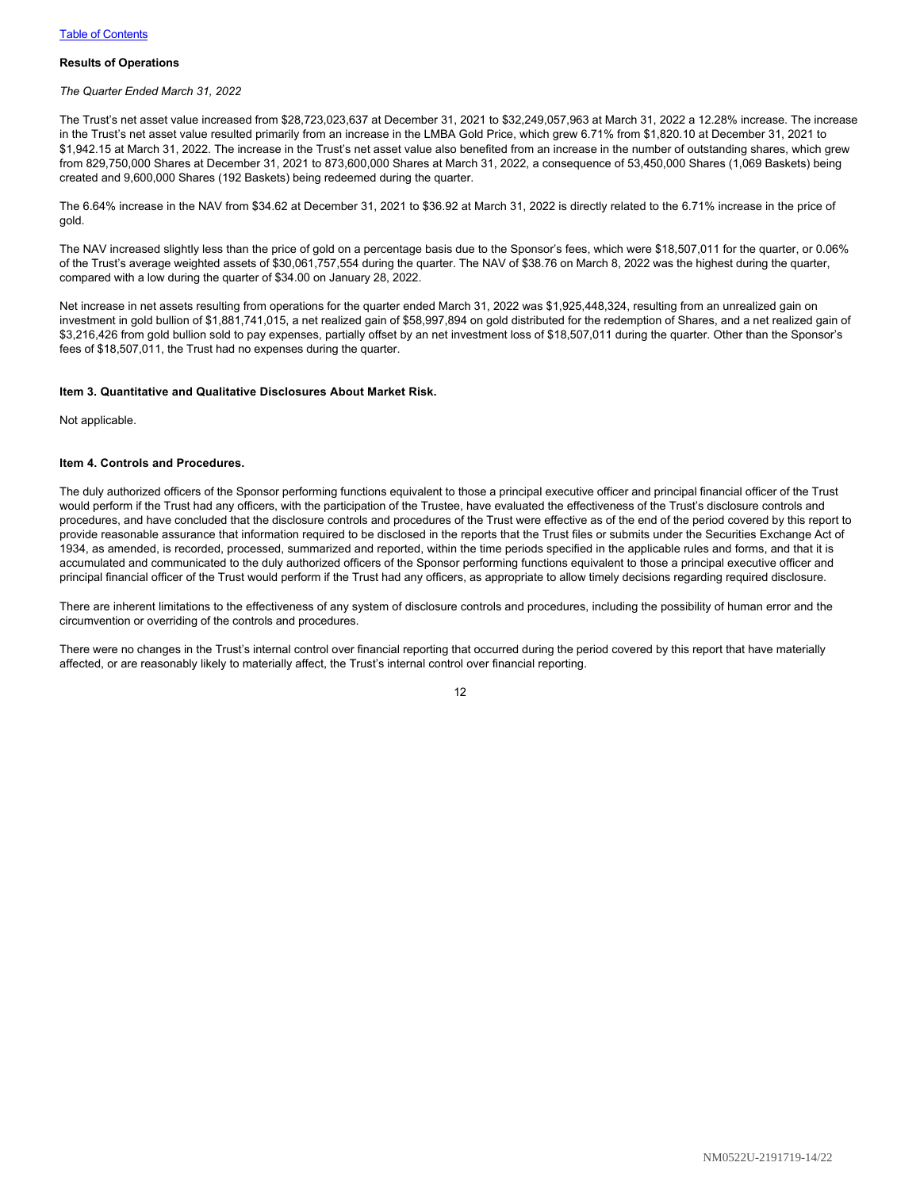#### **Results of Operations**

*The Quarter Ended March 31, 2022*

The Trust's net asset value increased from \$28,723,023,637 at December 31, 2021 to \$32,249,057,963 at March 31, 2022 a 12.28% increase. The increase in the Trust's net asset value resulted primarily from an increase in the LMBA Gold Price, which grew 6.71% from \$1,820.10 at December 31, 2021 to \$1,942.15 at March 31, 2022. The increase in the Trust's net asset value also benefited from an increase in the number of outstanding shares, which grew from 829,750,000 Shares at December 31, 2021 to 873,600,000 Shares at March 31, 2022, a consequence of 53,450,000 Shares (1,069 Baskets) being created and 9,600,000 Shares (192 Baskets) being redeemed during the quarter.

The 6.64% increase in the NAV from \$34.62 at December 31, 2021 to \$36.92 at March 31, 2022 is directly related to the 6.71% increase in the price of gold.

The NAV increased slightly less than the price of gold on a percentage basis due to the Sponsor's fees, which were \$18,507,011 for the quarter, or 0.06% of the Trust's average weighted assets of \$30,061,757,554 during the quarter. The NAV of \$38.76 on March 8, 2022 was the highest during the quarter, compared with a low during the quarter of \$34.00 on January 28, 2022.

Net increase in net assets resulting from operations for the quarter ended March 31, 2022 was \$1,925,448,324, resulting from an unrealized gain on investment in gold bullion of \$1,881,741,015, a net realized gain of \$58,997,894 on gold distributed for the redemption of Shares, and a net realized gain of \$3,216,426 from gold bullion sold to pay expenses, partially offset by an net investment loss of \$18,507,011 during the quarter. Other than the Sponsor's fees of \$18,507,011, the Trust had no expenses during the quarter.

#### <span id="page-13-0"></span>**Item 3. Quantitative and Qualitative Disclosures About Market Risk.**

Not applicable.

#### <span id="page-13-1"></span>**Item 4. Controls and Procedures.**

The duly authorized officers of the Sponsor performing functions equivalent to those a principal executive officer and principal financial officer of the Trust would perform if the Trust had any officers, with the participation of the Trustee, have evaluated the effectiveness of the Trust's disclosure controls and procedures, and have concluded that the disclosure controls and procedures of the Trust were effective as of the end of the period covered by this report to provide reasonable assurance that information required to be disclosed in the reports that the Trust files or submits under the Securities Exchange Act of 1934, as amended, is recorded, processed, summarized and reported, within the time periods specified in the applicable rules and forms, and that it is accumulated and communicated to the duly authorized officers of the Sponsor performing functions equivalent to those a principal executive officer and principal financial officer of the Trust would perform if the Trust had any officers, as appropriate to allow timely decisions regarding required disclosure.

There are inherent limitations to the effectiveness of any system of disclosure controls and procedures, including the possibility of human error and the circumvention or overriding of the controls and procedures.

There were no changes in the Trust's internal control over financial reporting that occurred during the period covered by this report that have materially affected, or are reasonably likely to materially affect, the Trust's internal control over financial reporting.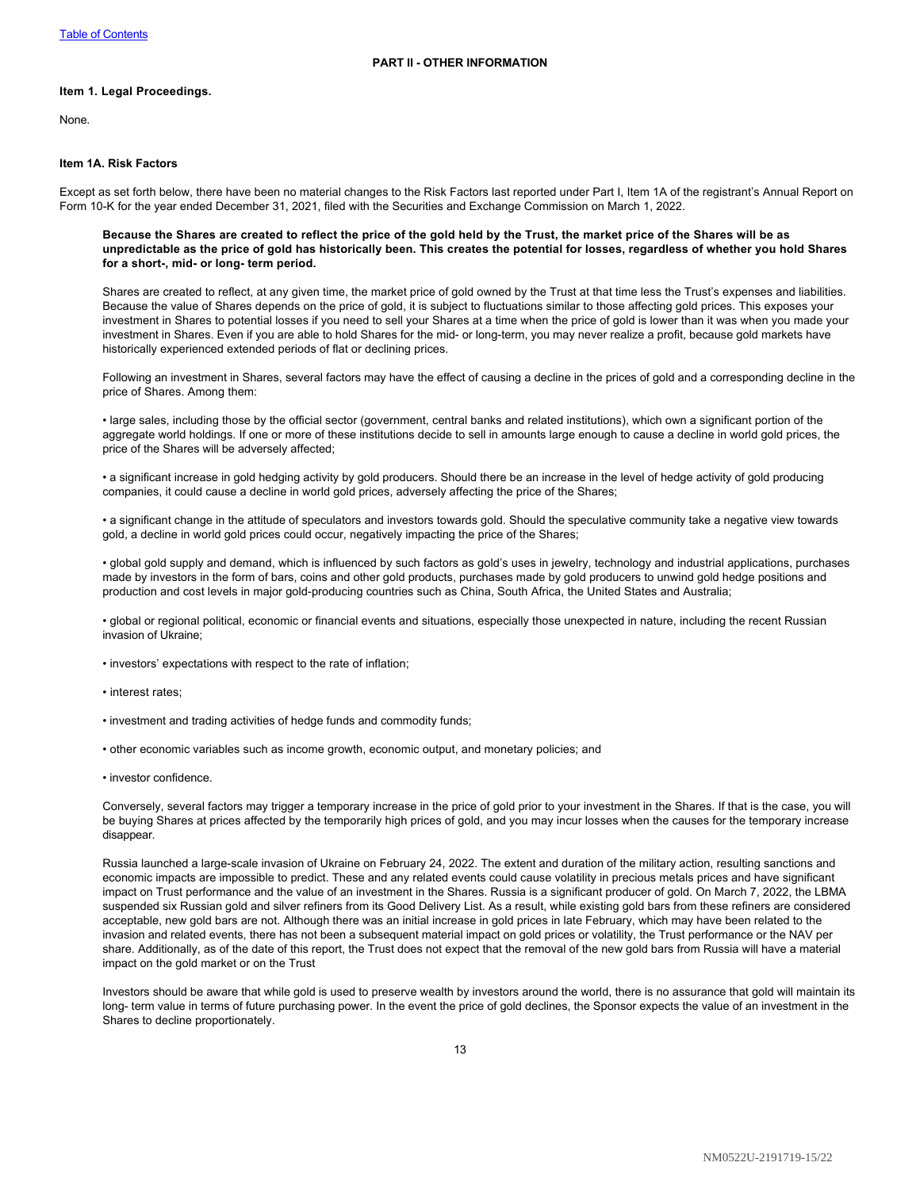#### <span id="page-14-1"></span><span id="page-14-0"></span>**Item 1. Legal Proceedings.**

None.

### <span id="page-14-2"></span>**Item 1A. Risk Factors**

Except as set forth below, there have been no material changes to the Risk Factors last reported under Part I, Item 1A of the registrant's Annual Report on Form 10-K for the year ended December 31, 2021, filed with the Securities and Exchange Commission on March 1, 2022.

**Because the Shares are created to reflect the price of the gold held by the Trust, the market price of the Shares will be as unpredictable as the price of gold has historically been. This creates the potential for losses, regardless of whether you hold Shares for a short-, mid- or long- term period.**

Shares are created to reflect, at any given time, the market price of gold owned by the Trust at that time less the Trust's expenses and liabilities. Because the value of Shares depends on the price of gold, it is subject to fluctuations similar to those affecting gold prices. This exposes your investment in Shares to potential losses if you need to sell your Shares at a time when the price of gold is lower than it was when you made your investment in Shares. Even if you are able to hold Shares for the mid- or long-term, you may never realize a profit, because gold markets have historically experienced extended periods of flat or declining prices.

Following an investment in Shares, several factors may have the effect of causing a decline in the prices of gold and a corresponding decline in the price of Shares. Among them:

• large sales, including those by the official sector (government, central banks and related institutions), which own a significant portion of the aggregate world holdings. If one or more of these institutions decide to sell in amounts large enough to cause a decline in world gold prices, the price of the Shares will be adversely affected;

• a significant increase in gold hedging activity by gold producers. Should there be an increase in the level of hedge activity of gold producing companies, it could cause a decline in world gold prices, adversely affecting the price of the Shares;

• a significant change in the attitude of speculators and investors towards gold. Should the speculative community take a negative view towards gold, a decline in world gold prices could occur, negatively impacting the price of the Shares;

• global gold supply and demand, which is influenced by such factors as gold's uses in jewelry, technology and industrial applications, purchases made by investors in the form of bars, coins and other gold products, purchases made by gold producers to unwind gold hedge positions and production and cost levels in major gold-producing countries such as China, South Africa, the United States and Australia;

• global or regional political, economic or financial events and situations, especially those unexpected in nature, including the recent Russian invasion of Ukraine;

- investors' expectations with respect to the rate of inflation;
- interest rates;
- investment and trading activities of hedge funds and commodity funds;
- other economic variables such as income growth, economic output, and monetary policies; and
- investor confidence.

Conversely, several factors may trigger a temporary increase in the price of gold prior to your investment in the Shares. If that is the case, you will be buying Shares at prices affected by the temporarily high prices of gold, and you may incur losses when the causes for the temporary increase disappear.

Russia launched a large-scale invasion of Ukraine on February 24, 2022. The extent and duration of the military action, resulting sanctions and economic impacts are impossible to predict. These and any related events could cause volatility in precious metals prices and have significant impact on Trust performance and the value of an investment in the Shares. Russia is a significant producer of gold. On March 7, 2022, the LBMA suspended six Russian gold and silver refiners from its Good Delivery List. As a result, while existing gold bars from these refiners are considered acceptable, new gold bars are not. Although there was an initial increase in gold prices in late February, which may have been related to the invasion and related events, there has not been a subsequent material impact on gold prices or volatility, the Trust performance or the NAV per share. Additionally, as of the date of this report, the Trust does not expect that the removal of the new gold bars from Russia will have a material impact on the gold market or on the Trust

Investors should be aware that while gold is used to preserve wealth by investors around the world, there is no assurance that gold will maintain its long- term value in terms of future purchasing power. In the event the price of gold declines, the Sponsor expects the value of an investment in the Shares to decline proportionately.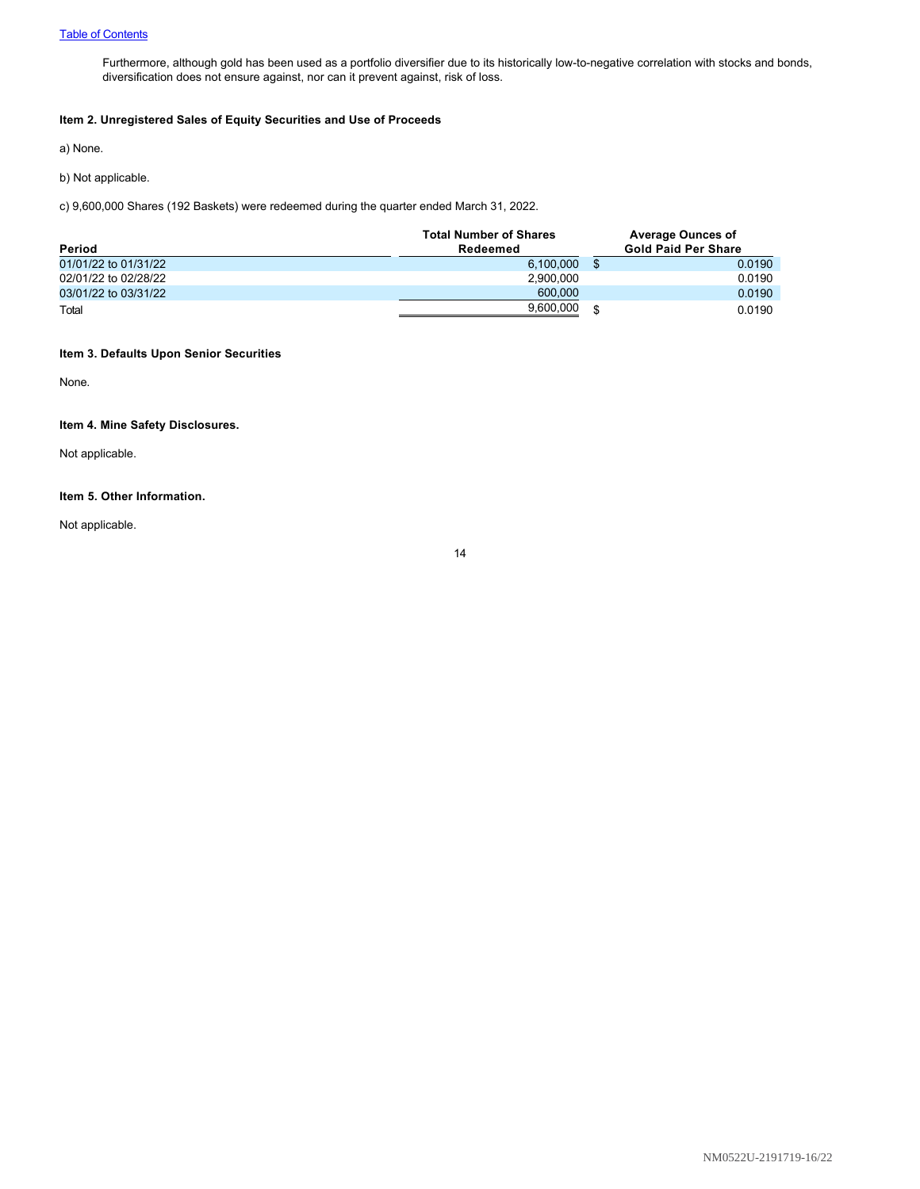Furthermore, although gold has been used as a portfolio diversifier due to its historically low-to-negative correlation with stocks and bonds, diversification does not ensure against, nor can it prevent against, risk of loss.

# <span id="page-15-0"></span>**Item 2. Unregistered Sales of Equity Securities and Use of Proceeds**

a) None.

b) Not applicable.

c) 9,600,000 Shares (192 Baskets) were redeemed during the quarter ended March 31, 2022.

| Period               | <b>Total Number of Shares</b><br>Redeemed | <b>Average Ounces of</b><br><b>Gold Paid Per Share</b> |        |
|----------------------|-------------------------------------------|--------------------------------------------------------|--------|
| 01/01/22 to 01/31/22 | 6.100.000                                 |                                                        | 0.0190 |
| 02/01/22 to 02/28/22 | 2.900.000                                 |                                                        | 0.0190 |
| 03/01/22 to 03/31/22 | 600,000                                   |                                                        | 0.0190 |
| Total                | 9,600,000                                 |                                                        | 0.0190 |

# <span id="page-15-1"></span>**Item 3. Defaults Upon Senior Securities**

None.

# <span id="page-15-2"></span>**Item 4. Mine Safety Disclosures.**

Not applicable.

# <span id="page-15-3"></span>**Item 5. Other Information.**

Not applicable.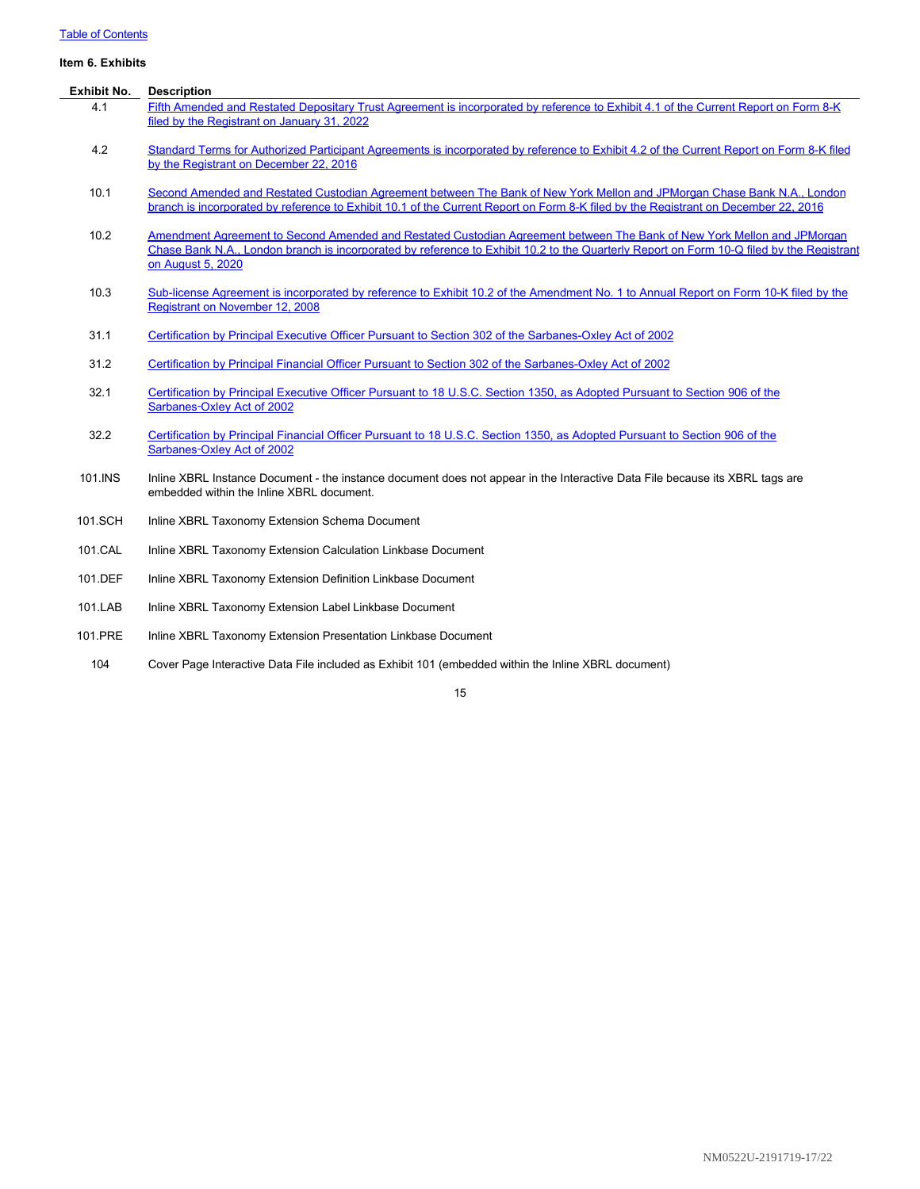# [Table of Contents](#page-1-0)

# <span id="page-16-0"></span>**Item 6. Exhibits**

| <b>Exhibit No.</b> | <b>Description</b>                                                                                                                                                                                                                                                                       |
|--------------------|------------------------------------------------------------------------------------------------------------------------------------------------------------------------------------------------------------------------------------------------------------------------------------------|
| 4.1                | Fifth Amended and Restated Depositary Trust Agreement is incorporated by reference to Exhibit 4.1 of the Current Report on Form 8-K<br>filed by the Registrant on January 31, 2022                                                                                                       |
| 4.2                | Standard Terms for Authorized Participant Agreements is incorporated by reference to Exhibit 4.2 of the Current Report on Form 8-K filed<br>by the Registrant on December 22, 2016                                                                                                       |
| 10.1               | Second Amended and Restated Custodian Agreement between The Bank of New York Mellon and JPMorgan Chase Bank N.A., London<br>branch is incorporated by reference to Exhibit 10.1 of the Current Report on Form 8-K filed by the Registrant on December 22, 2016                           |
| 10.2               | Amendment Agreement to Second Amended and Restated Custodian Agreement between The Bank of New York Mellon and JPMorgan<br>Chase Bank N.A., London branch is incorporated by reference to Exhibit 10.2 to the Quarterly Report on Form 10-Q filed by the Registrant<br>on August 5, 2020 |
| 10.3               | Sub-license Agreement is incorporated by reference to Exhibit 10.2 of the Amendment No. 1 to Annual Report on Form 10-K filed by the<br>Registrant on November 12, 2008                                                                                                                  |
| 31.1               | Certification by Principal Executive Officer Pursuant to Section 302 of the Sarbanes-Oxley Act of 2002                                                                                                                                                                                   |
| 31.2               | Certification by Principal Financial Officer Pursuant to Section 302 of the Sarbanes-Oxley Act of 2002                                                                                                                                                                                   |
| 32.1               | Certification by Principal Executive Officer Pursuant to 18 U.S.C. Section 1350, as Adopted Pursuant to Section 906 of the<br>Sarbanes-Oxley Act of 2002                                                                                                                                 |
| 32.2               | Certification by Principal Financial Officer Pursuant to 18 U.S.C. Section 1350, as Adopted Pursuant to Section 906 of the<br>Sarbanes-Oxley Act of 2002                                                                                                                                 |
| 101.INS            | Inline XBRL Instance Document - the instance document does not appear in the Interactive Data File because its XBRL tags are<br>embedded within the Inline XBRL document.                                                                                                                |
| 101.SCH            | Inline XBRL Taxonomy Extension Schema Document                                                                                                                                                                                                                                           |
| 101.CAL            | Inline XBRL Taxonomy Extension Calculation Linkbase Document                                                                                                                                                                                                                             |
| 101.DEF            | Inline XBRL Taxonomy Extension Definition Linkbase Document                                                                                                                                                                                                                              |
| 101.LAB            | Inline XBRL Taxonomy Extension Label Linkbase Document                                                                                                                                                                                                                                   |
| 101.PRE            | Inline XBRL Taxonomy Extension Presentation Linkbase Document                                                                                                                                                                                                                            |

104 Cover Page Interactive Data File included as Exhibit 101 (embedded within the Inline XBRL document)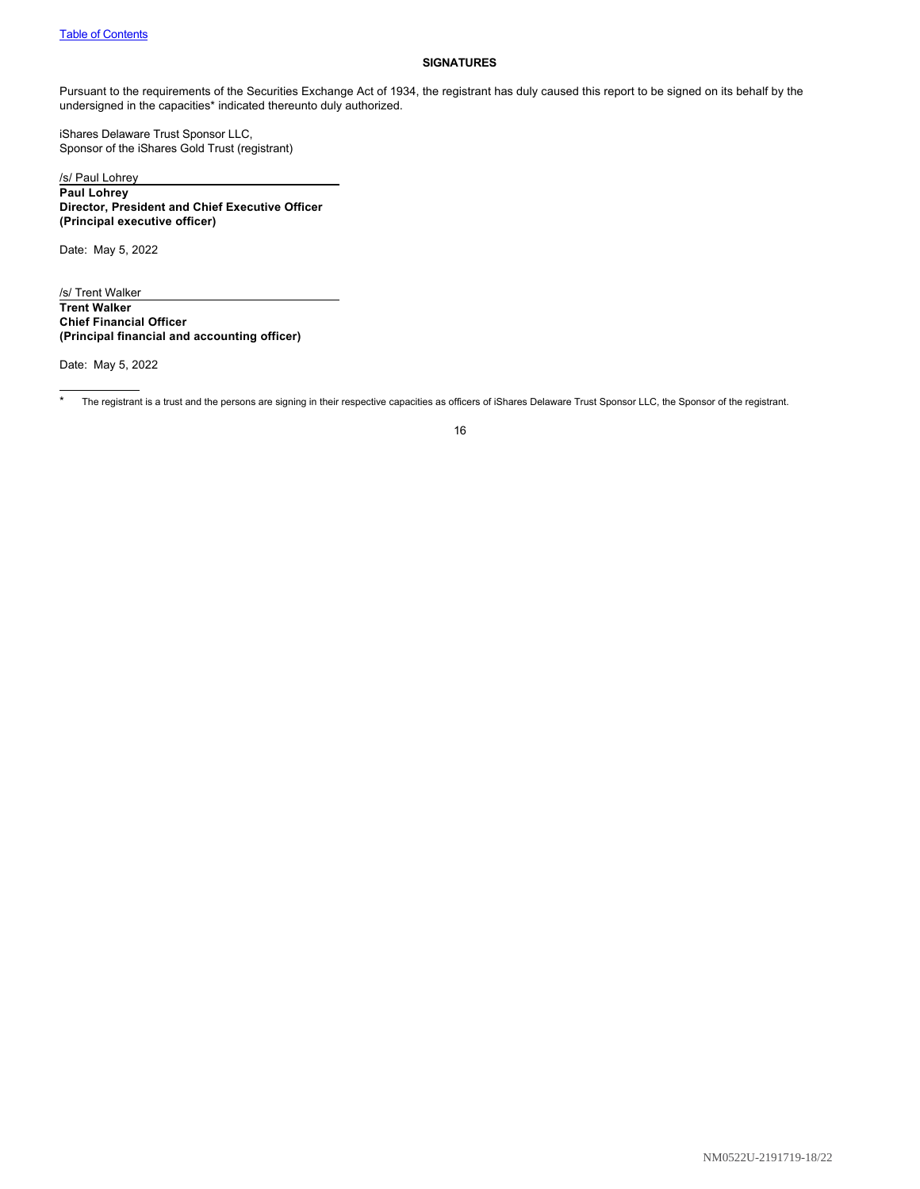#### <span id="page-17-0"></span>**SIGNATURES**

Pursuant to the requirements of the Securities Exchange Act of 1934, the registrant has duly caused this report to be signed on its behalf by the undersigned in the capacities\* indicated thereunto duly authorized.

iShares Delaware Trust Sponsor LLC, Sponsor of the iShares Gold Trust (registrant)

/s/ Paul Lohrey **Paul Lohrey Director, President and Chief Executive Officer (Principal executive officer)**

Date: May 5, 2022

/s/ Trent Walker **Trent Walker Chief Financial Officer (Principal financial and accounting officer)**

Date: May 5, 2022

\* The registrant is a trust and the persons are signing in their respective capacities as officers of iShares Delaware Trust Sponsor LLC, the Sponsor of the registrant.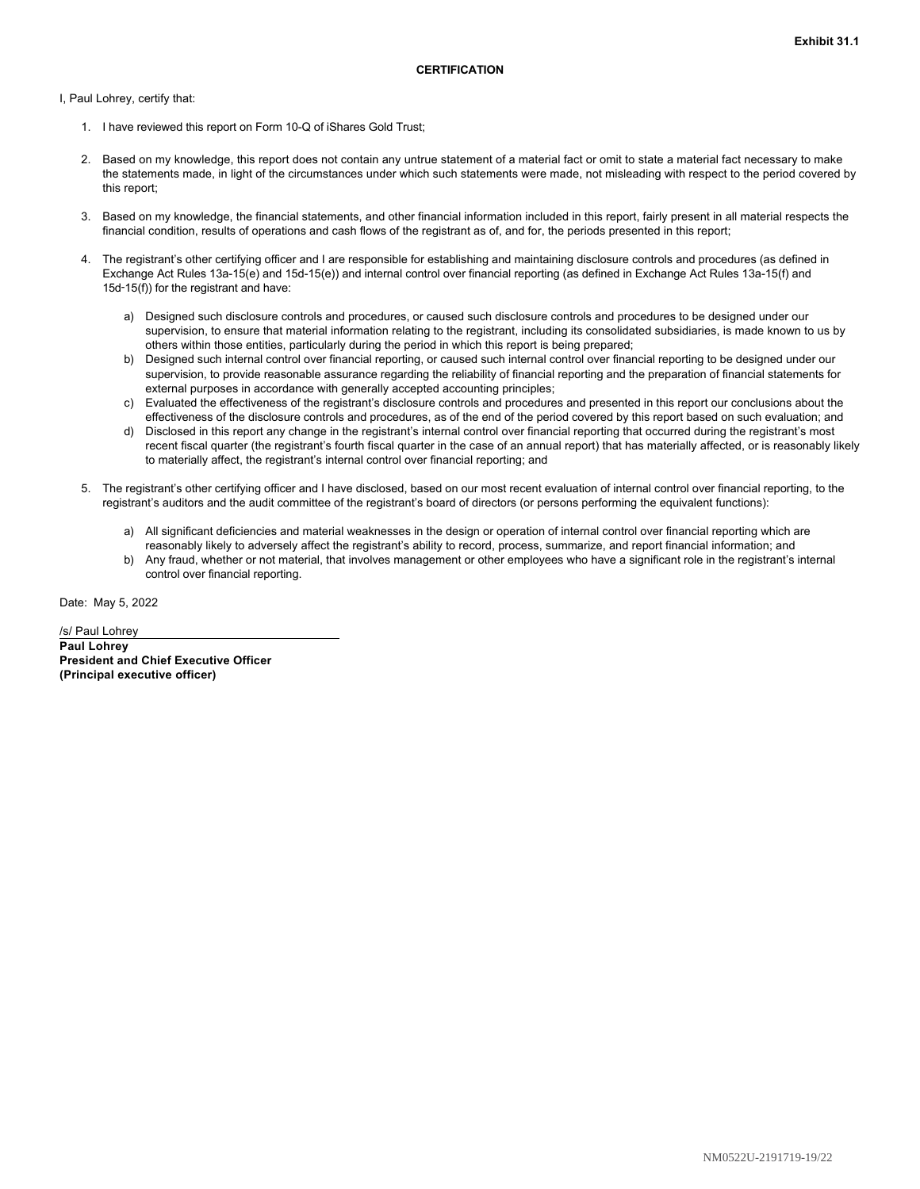<span id="page-18-0"></span>I, Paul Lohrey, certify that:

- 1. I have reviewed this report on Form 10-Q of iShares Gold Trust;
- 2. Based on my knowledge, this report does not contain any untrue statement of a material fact or omit to state a material fact necessary to make the statements made, in light of the circumstances under which such statements were made, not misleading with respect to the period covered by this report;
- 3. Based on my knowledge, the financial statements, and other financial information included in this report, fairly present in all material respects the financial condition, results of operations and cash flows of the registrant as of, and for, the periods presented in this report;
- 4. The registrant's other certifying officer and I are responsible for establishing and maintaining disclosure controls and procedures (as defined in Exchange Act Rules 13a-15(e) and 15d-15(e)) and internal control over financial reporting (as defined in Exchange Act Rules 13a-15(f) and 15d‑15(f)) for the registrant and have:
	- a) Designed such disclosure controls and procedures, or caused such disclosure controls and procedures to be designed under our supervision, to ensure that material information relating to the registrant, including its consolidated subsidiaries, is made known to us by others within those entities, particularly during the period in which this report is being prepared;
	- b) Designed such internal control over financial reporting, or caused such internal control over financial reporting to be designed under our supervision, to provide reasonable assurance regarding the reliability of financial reporting and the preparation of financial statements for external purposes in accordance with generally accepted accounting principles;
	- c) Evaluated the effectiveness of the registrant's disclosure controls and procedures and presented in this report our conclusions about the effectiveness of the disclosure controls and procedures, as of the end of the period covered by this report based on such evaluation; and
	- d) Disclosed in this report any change in the registrant's internal control over financial reporting that occurred during the registrant's most recent fiscal quarter (the registrant's fourth fiscal quarter in the case of an annual report) that has materially affected, or is reasonably likely to materially affect, the registrant's internal control over financial reporting; and
- 5. The registrant's other certifying officer and I have disclosed, based on our most recent evaluation of internal control over financial reporting, to the registrant's auditors and the audit committee of the registrant's board of directors (or persons performing the equivalent functions):
	- a) All significant deficiencies and material weaknesses in the design or operation of internal control over financial reporting which are reasonably likely to adversely affect the registrant's ability to record, process, summarize, and report financial information; and
	- b) Any fraud, whether or not material, that involves management or other employees who have a significant role in the registrant's internal control over financial reporting.

Date: May 5, 2022

/s/ Paul Lohrey **Paul Lohrey President and Chief Executive Officer (Principal executive officer)**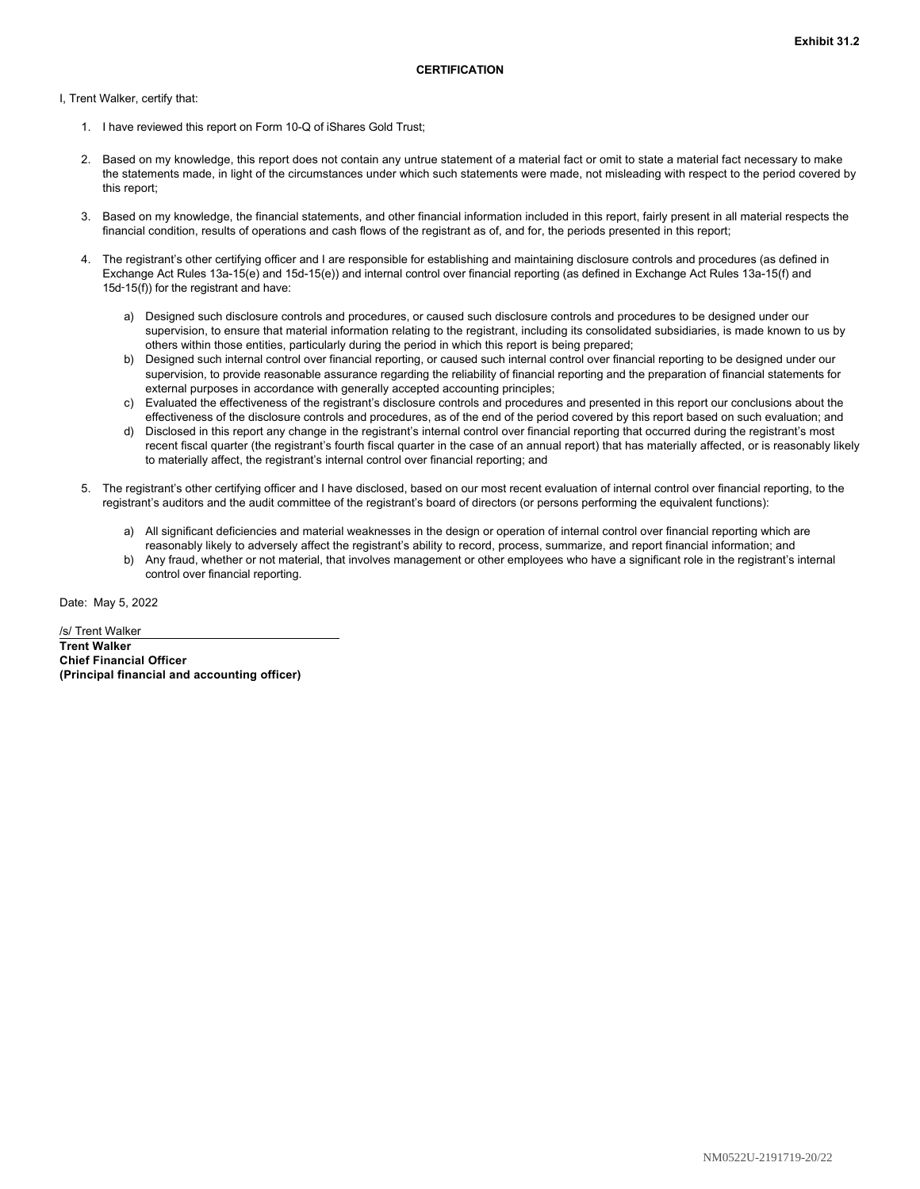<span id="page-19-0"></span>I, Trent Walker, certify that:

- 1. I have reviewed this report on Form 10-Q of iShares Gold Trust;
- 2. Based on my knowledge, this report does not contain any untrue statement of a material fact or omit to state a material fact necessary to make the statements made, in light of the circumstances under which such statements were made, not misleading with respect to the period covered by this report;
- 3. Based on my knowledge, the financial statements, and other financial information included in this report, fairly present in all material respects the financial condition, results of operations and cash flows of the registrant as of, and for, the periods presented in this report;
- 4. The registrant's other certifying officer and I are responsible for establishing and maintaining disclosure controls and procedures (as defined in Exchange Act Rules 13a-15(e) and 15d-15(e)) and internal control over financial reporting (as defined in Exchange Act Rules 13a-15(f) and 15d‑15(f)) for the registrant and have:
	- a) Designed such disclosure controls and procedures, or caused such disclosure controls and procedures to be designed under our supervision, to ensure that material information relating to the registrant, including its consolidated subsidiaries, is made known to us by others within those entities, particularly during the period in which this report is being prepared;
	- b) Designed such internal control over financial reporting, or caused such internal control over financial reporting to be designed under our supervision, to provide reasonable assurance regarding the reliability of financial reporting and the preparation of financial statements for external purposes in accordance with generally accepted accounting principles;
	- c) Evaluated the effectiveness of the registrant's disclosure controls and procedures and presented in this report our conclusions about the effectiveness of the disclosure controls and procedures, as of the end of the period covered by this report based on such evaluation; and
	- d) Disclosed in this report any change in the registrant's internal control over financial reporting that occurred during the registrant's most recent fiscal quarter (the registrant's fourth fiscal quarter in the case of an annual report) that has materially affected, or is reasonably likely to materially affect, the registrant's internal control over financial reporting; and
- 5. The registrant's other certifying officer and I have disclosed, based on our most recent evaluation of internal control over financial reporting, to the registrant's auditors and the audit committee of the registrant's board of directors (or persons performing the equivalent functions):
	- a) All significant deficiencies and material weaknesses in the design or operation of internal control over financial reporting which are reasonably likely to adversely affect the registrant's ability to record, process, summarize, and report financial information; and
	- b) Any fraud, whether or not material, that involves management or other employees who have a significant role in the registrant's internal control over financial reporting.

Date: May 5, 2022

/s/ Trent Walker **Trent Walker Chief Financial Officer (Principal financial and accounting officer)**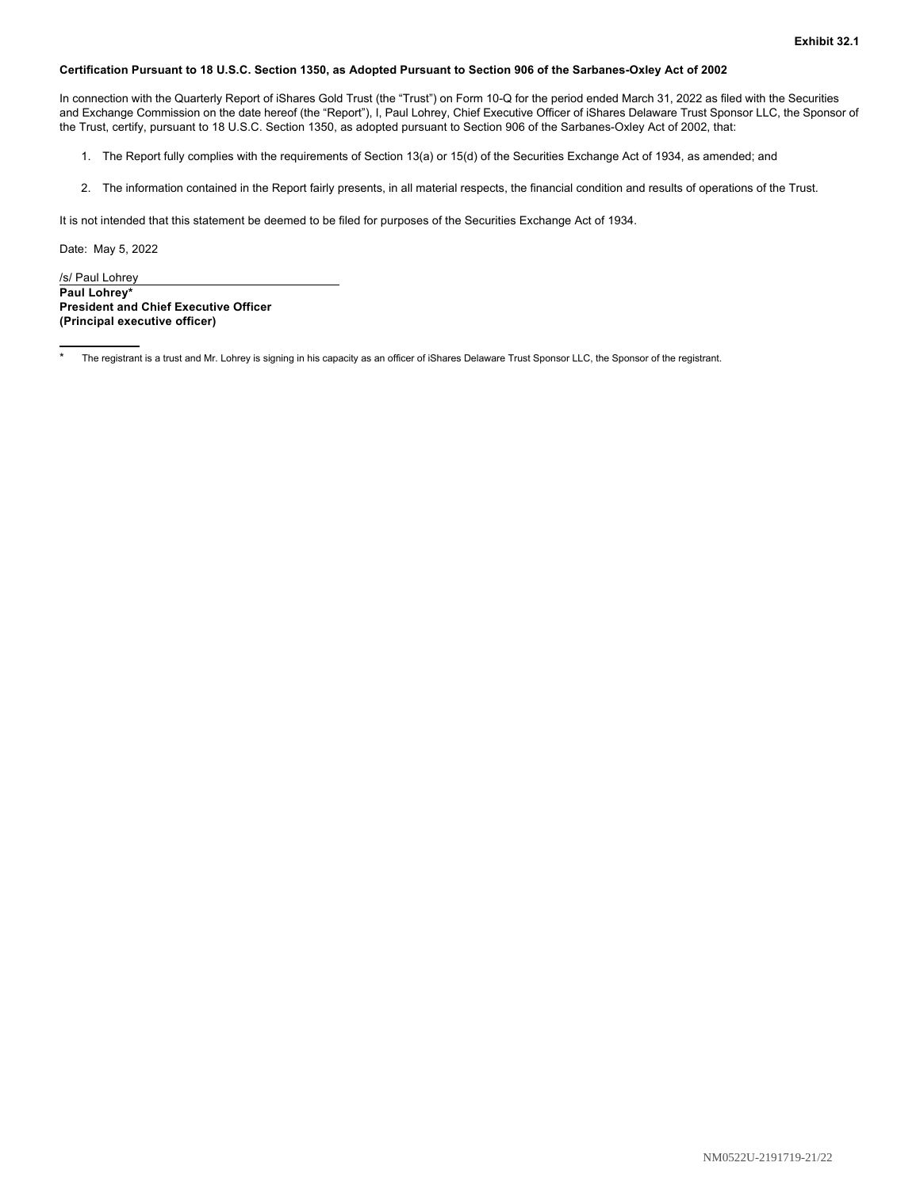#### <span id="page-20-0"></span>**Certification Pursuant to 18 U.S.C. Section 1350, as Adopted Pursuant to Section 906 of the Sarbanes-Oxley Act of 2002**

In connection with the Quarterly Report of iShares Gold Trust (the "Trust") on Form 10-Q for the period ended March 31, 2022 as filed with the Securities and Exchange Commission on the date hereof (the "Report"), I, Paul Lohrey, Chief Executive Officer of iShares Delaware Trust Sponsor LLC, the Sponsor of the Trust, certify, pursuant to 18 U.S.C. Section 1350, as adopted pursuant to Section 906 of the Sarbanes-Oxley Act of 2002, that:

- 1. The Report fully complies with the requirements of Section 13(a) or 15(d) of the Securities Exchange Act of 1934, as amended; and
- 2. The information contained in the Report fairly presents, in all material respects, the financial condition and results of operations of the Trust.

It is not intended that this statement be deemed to be filed for purposes of the Securities Exchange Act of 1934.

Date: May 5, 2022

/s/ Paul Lohrey **Paul Lohrey\* President and Chief Executive Officer (Principal executive officer)**

The registrant is a trust and Mr. Lohrey is signing in his capacity as an officer of iShares Delaware Trust Sponsor LLC, the Sponsor of the registrant.